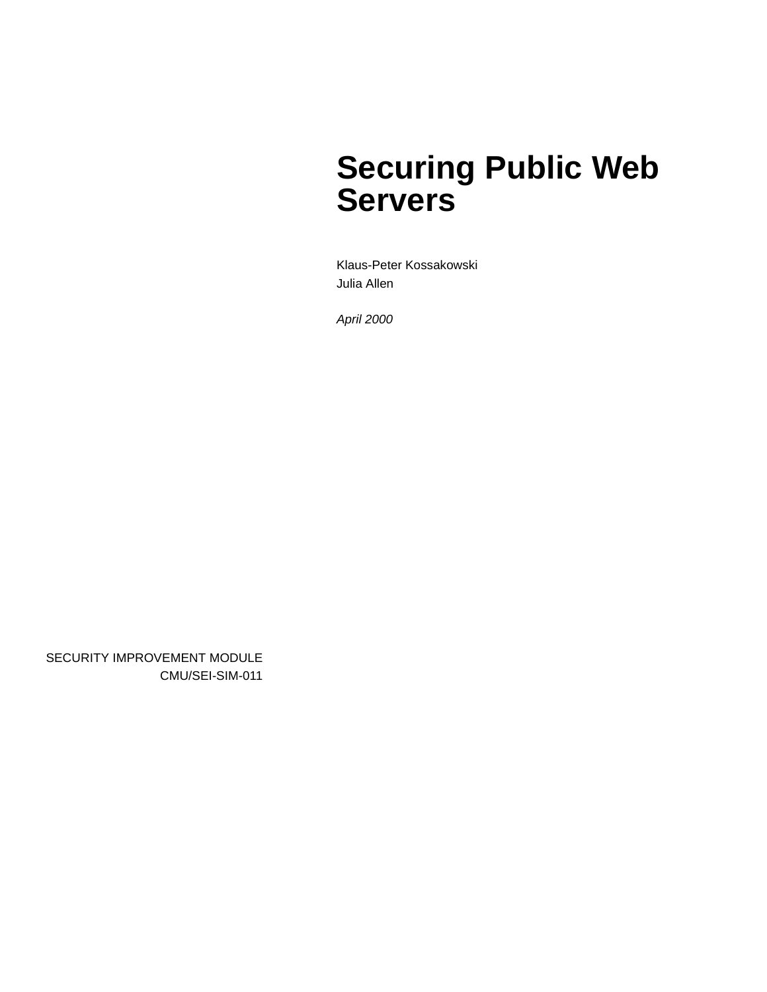# **Securing Public Web Servers**

Klaus-Peter Kossakowski Julia Allen

*April 2000*

SECURITY IMPROVEMENT MODULE CMU/SEI-SIM-011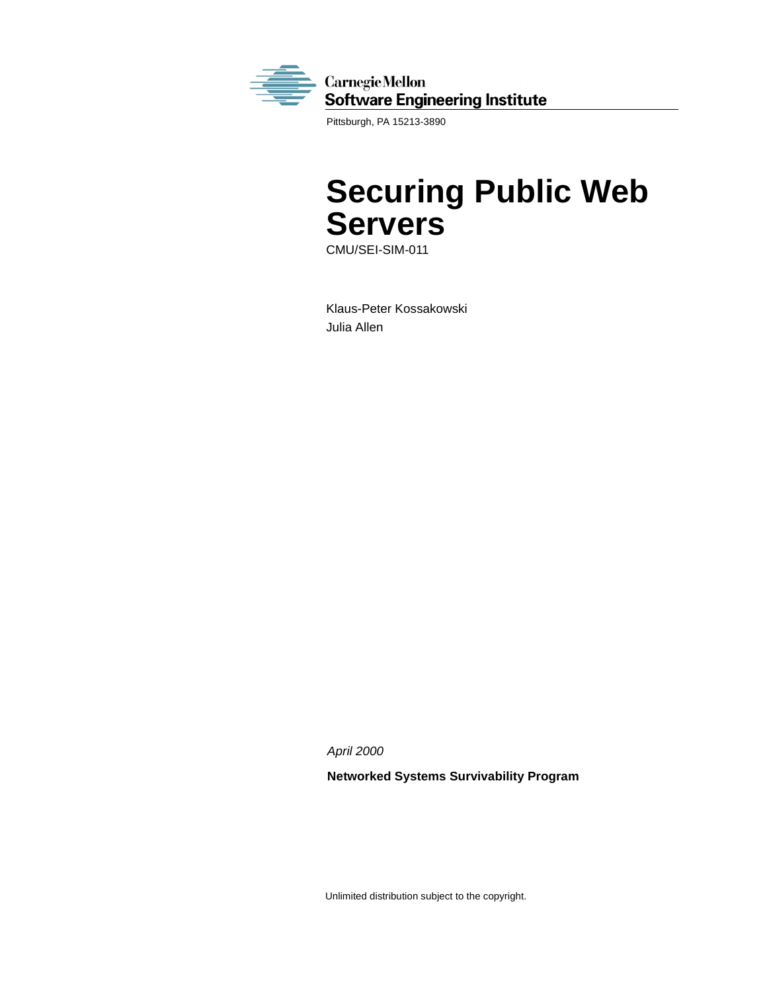

Pittsburgh, PA 15213-3890

# **Securing Public Web Servers**

CMU/SEI-SIM-011

Klaus-Peter Kossakowski Julia Allen

*April 2000*

**Networked Systems Survivability Program**

Unlimited distribution subject to the copyright.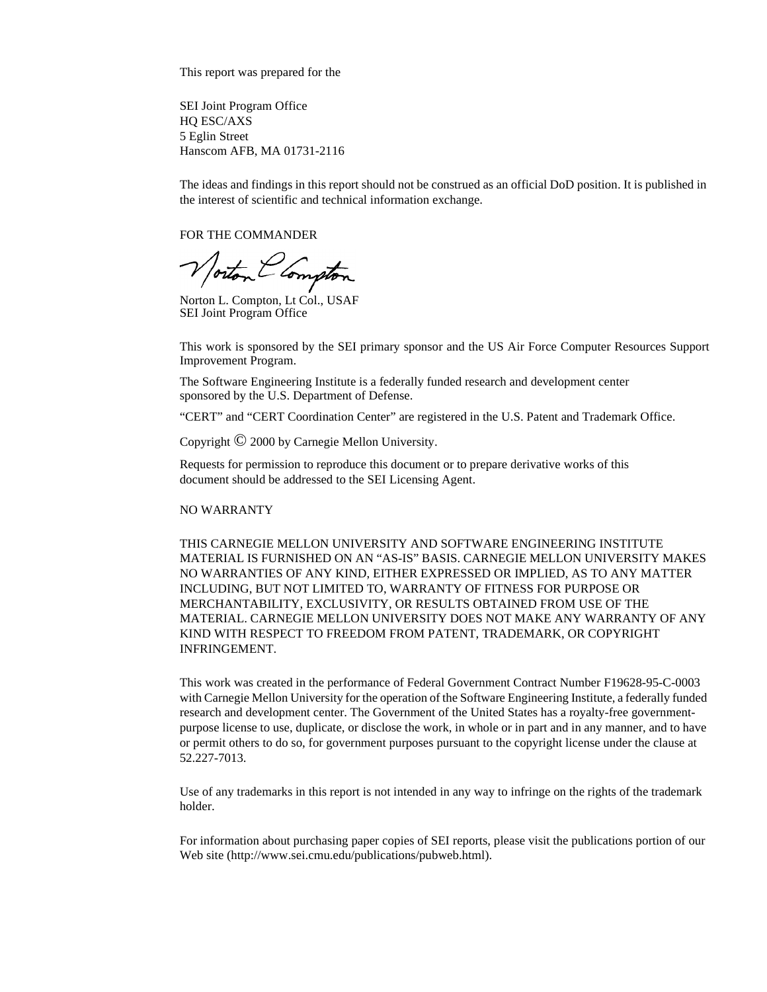This report was prepared for the

SEI Joint Program Office HQ ESC/AXS 5 Eglin Street Hanscom AFB, MA 01731-2116

The ideas and findings in this report should not be construed as an official DoD position. It is published in the interest of scientific and technical information exchange.

FOR THE COMMANDER

Norton L. Compton, Lt Col., USAF

SEI Joint Program Office

This work is sponsored by the SEI primary sponsor and the US Air Force Computer Resources Support Improvement Program.

The Software Engineering Institute is a federally funded research and development center sponsored by the U.S. Department of Defense.

"CERT" and "CERT Coordination Center" are registered in the U.S. Patent and Trademark Office.

Copyright © 2000 by Carnegie Mellon University.

Requests for permission to reproduce this document or to prepare derivative works of this document should be addressed to the SEI Licensing Agent.

#### NO WARRANTY

THIS CARNEGIE MELLON UNIVERSITY AND SOFTWARE ENGINEERING INSTITUTE MATERIAL IS FURNISHED ON AN "AS-IS" BASIS. CARNEGIE MELLON UNIVERSITY MAKES NO WARRANTIES OF ANY KIND, EITHER EXPRESSED OR IMPLIED, AS TO ANY MATTER INCLUDING, BUT NOT LIMITED TO, WARRANTY OF FITNESS FOR PURPOSE OR MERCHANTABILITY, EXCLUSIVITY, OR RESULTS OBTAINED FROM USE OF THE MATERIAL. CARNEGIE MELLON UNIVERSITY DOES NOT MAKE ANY WARRANTY OF ANY KIND WITH RESPECT TO FREEDOM FROM PATENT, TRADEMARK, OR COPYRIGHT INFRINGEMENT.

This work was created in the performance of Federal Government Contract Number F19628-95-C-0003 with Carnegie Mellon University for the operation of the Software Engineering Institute, a federally funded research and development center. The Government of the United States has a royalty-free governmentpurpose license to use, duplicate, or disclose the work, in whole or in part and in any manner, and to have or permit others to do so, for government purposes pursuant to the copyright license under the clause at 52.227-7013.

Use of any trademarks in this report is not intended in any way to infringe on the rights of the trademark holder.

For information about purchasing paper copies of SEI reports, please visit the publications portion of our Web site (http://www.sei.cmu.edu/publications/pubweb.html).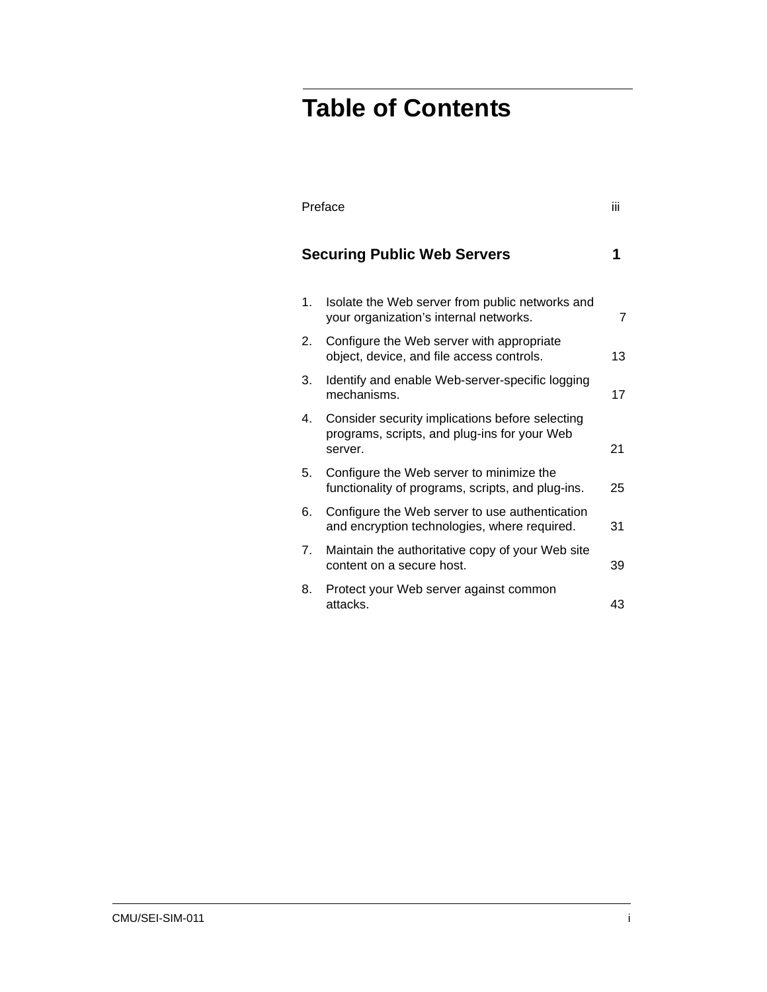# **Table of Contents**

|                | Preface                                                                                                    |    |
|----------------|------------------------------------------------------------------------------------------------------------|----|
|                | <b>Securing Public Web Servers</b>                                                                         |    |
| 1.             | Isolate the Web server from public networks and<br>your organization's internal networks.                  | 7  |
| 2.             | Configure the Web server with appropriate<br>object, device, and file access controls.                     | 13 |
| 3.             | Identify and enable Web-server-specific logging<br>mechanisms.                                             | 17 |
| 4.             | Consider security implications before selecting<br>programs, scripts, and plug-ins for your Web<br>server. | 21 |
| 5.             | Configure the Web server to minimize the<br>functionality of programs, scripts, and plug-ins.              | 25 |
| 6.             | Configure the Web server to use authentication<br>and encryption technologies, where required.             | 31 |
| 7 <sub>1</sub> | Maintain the authoritative copy of your Web site<br>content on a secure host.                              | 39 |
| 8.             | Protect your Web server against common<br>attacks.                                                         | 43 |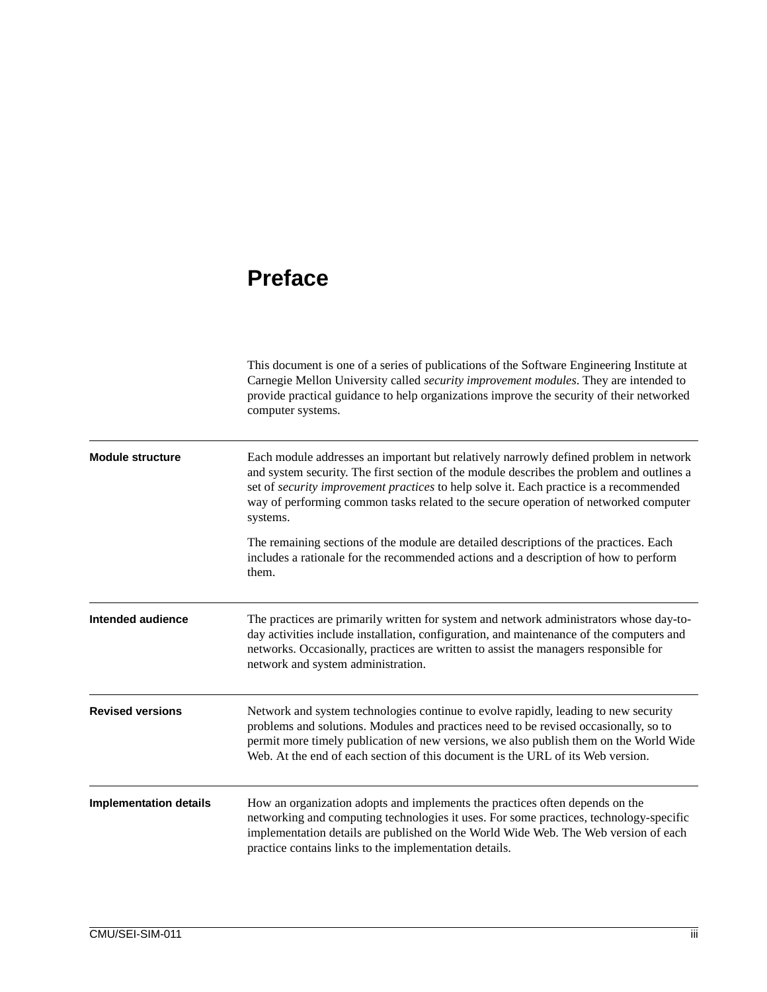## **Preface**

|                               | This document is one of a series of publications of the Software Engineering Institute at<br>Carnegie Mellon University called <i>security improvement modules</i> . They are intended to<br>provide practical guidance to help organizations improve the security of their networked<br>computer systems.                                                                       |
|-------------------------------|----------------------------------------------------------------------------------------------------------------------------------------------------------------------------------------------------------------------------------------------------------------------------------------------------------------------------------------------------------------------------------|
| <b>Module structure</b>       | Each module addresses an important but relatively narrowly defined problem in network<br>and system security. The first section of the module describes the problem and outlines a<br>set of security improvement practices to help solve it. Each practice is a recommended<br>way of performing common tasks related to the secure operation of networked computer<br>systems. |
|                               | The remaining sections of the module are detailed descriptions of the practices. Each<br>includes a rationale for the recommended actions and a description of how to perform<br>them.                                                                                                                                                                                           |
| Intended audience             | The practices are primarily written for system and network administrators whose day-to-<br>day activities include installation, configuration, and maintenance of the computers and<br>networks. Occasionally, practices are written to assist the managers responsible for<br>network and system administration.                                                                |
| <b>Revised versions</b>       | Network and system technologies continue to evolve rapidly, leading to new security<br>problems and solutions. Modules and practices need to be revised occasionally, so to<br>permit more timely publication of new versions, we also publish them on the World Wide<br>Web. At the end of each section of this document is the URL of its Web version.                         |
| <b>Implementation details</b> | How an organization adopts and implements the practices often depends on the<br>networking and computing technologies it uses. For some practices, technology-specific<br>implementation details are published on the World Wide Web. The Web version of each<br>practice contains links to the implementation details.                                                          |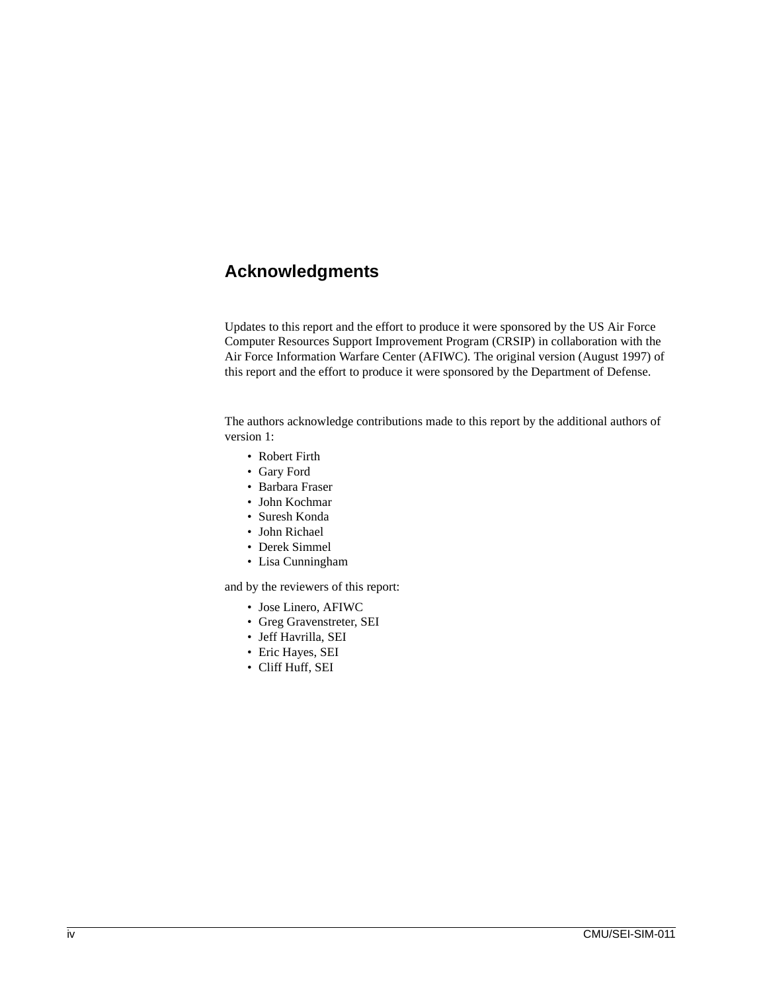### **Acknowledgments**

Updates to this report and the effort to produce it were sponsored by the US Air Force Computer Resources Support Improvement Program (CRSIP) in collaboration with the Air Force Information Warfare Center (AFIWC). The original version (August 1997) of this report and the effort to produce it were sponsored by the Department of Defense.

The authors acknowledge contributions made to this report by the additional authors of version 1:

- Robert Firth
- Gary Ford
- Barbara Fraser
- John Kochmar
- Suresh Konda
- John Richael
- Derek Simmel
- Lisa Cunningham

and by the reviewers of this report:

- Jose Linero, AFIWC
- Greg Gravenstreter, SEI
- Jeff Havrilla, SEI
- Eric Hayes, SEI
- Cliff Huff, SEI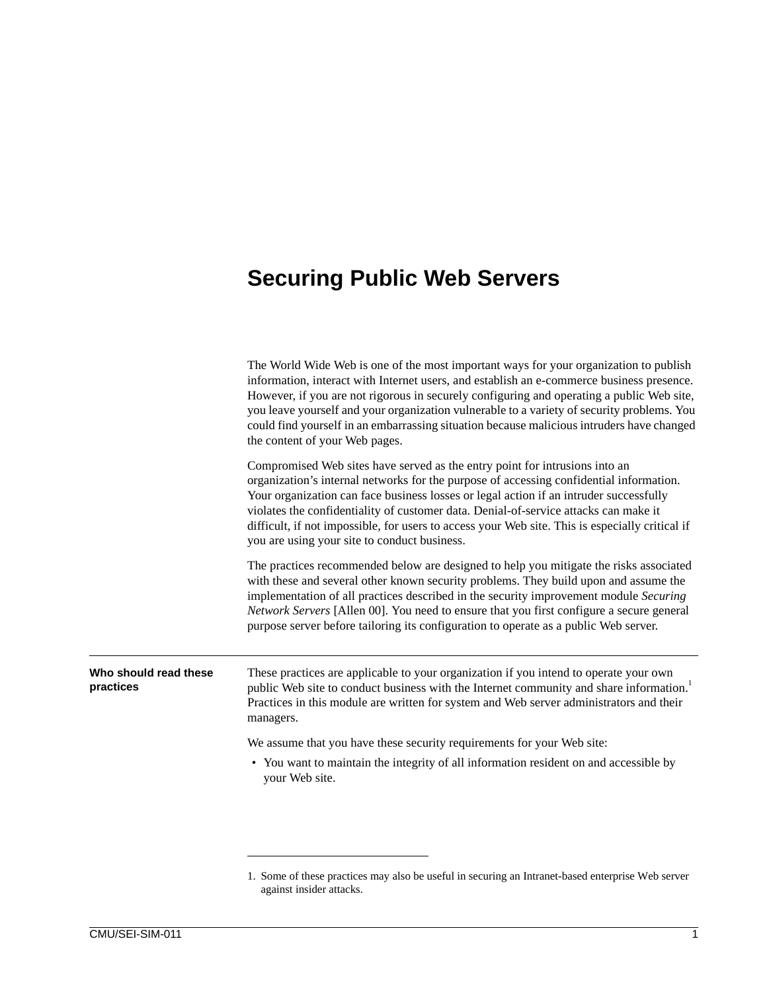## **Securing Public Web Servers**

|                                    | The World Wide Web is one of the most important ways for your organization to publish<br>information, interact with Internet users, and establish an e-commerce business presence.<br>However, if you are not rigorous in securely configuring and operating a public Web site,<br>you leave yourself and your organization vulnerable to a variety of security problems. You<br>could find yourself in an embarrassing situation because malicious intruders have changed<br>the content of your Web pages. |
|------------------------------------|--------------------------------------------------------------------------------------------------------------------------------------------------------------------------------------------------------------------------------------------------------------------------------------------------------------------------------------------------------------------------------------------------------------------------------------------------------------------------------------------------------------|
|                                    | Compromised Web sites have served as the entry point for intrusions into an<br>organization's internal networks for the purpose of accessing confidential information.<br>Your organization can face business losses or legal action if an intruder successfully<br>violates the confidentiality of customer data. Denial-of-service attacks can make it<br>difficult, if not impossible, for users to access your Web site. This is especially critical if<br>you are using your site to conduct business.  |
|                                    | The practices recommended below are designed to help you mitigate the risks associated<br>with these and several other known security problems. They build upon and assume the<br>implementation of all practices described in the security improvement module Securing<br>Network Servers [Allen 00]. You need to ensure that you first configure a secure general<br>purpose server before tailoring its configuration to operate as a public Web server.                                                  |
| Who should read these<br>practices | These practices are applicable to your organization if you intend to operate your own<br>public Web site to conduct business with the Internet community and share information. <sup>1</sup><br>Practices in this module are written for system and Web server administrators and their<br>managers.                                                                                                                                                                                                         |
|                                    | We assume that you have these security requirements for your Web site:                                                                                                                                                                                                                                                                                                                                                                                                                                       |
|                                    | • You want to maintain the integrity of all information resident on and accessible by<br>your Web site.                                                                                                                                                                                                                                                                                                                                                                                                      |
|                                    |                                                                                                                                                                                                                                                                                                                                                                                                                                                                                                              |

<sup>1.</sup> Some of these practices may also be useful in securing an Intranet-based enterprise Web server against insider attacks.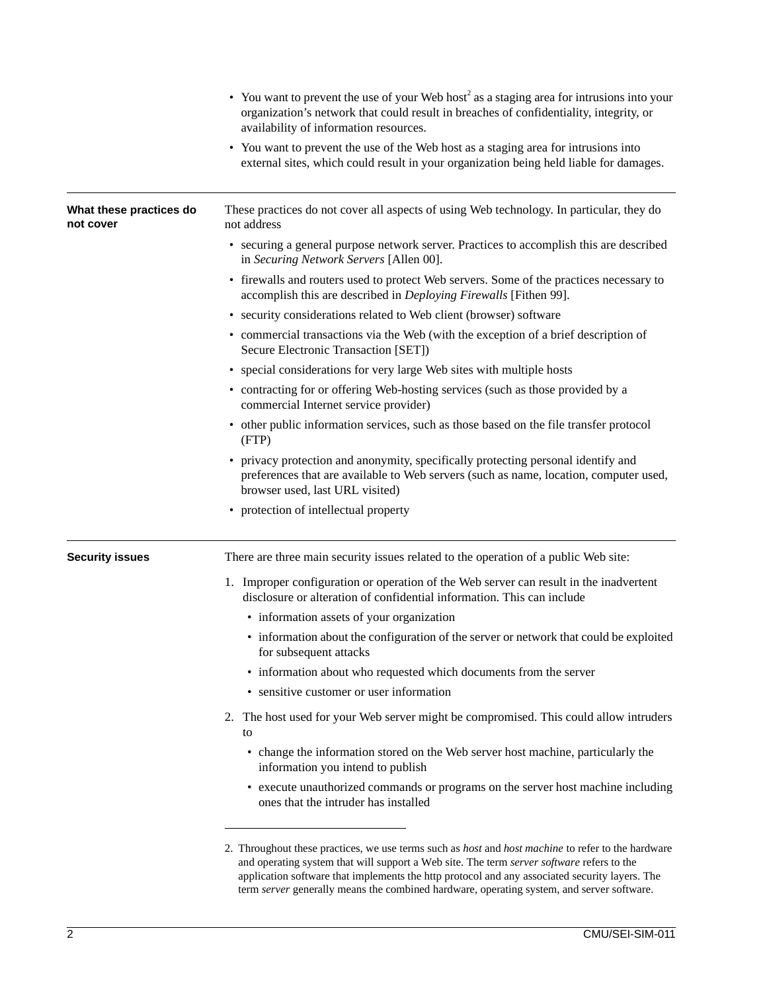|                                      | • You want to prevent the use of your Web host <sup>2</sup> as a staging area for intrusions into your<br>organization's network that could result in breaches of confidentiality, integrity, or<br>availability of information resources.                                                                                                                                                                   |
|--------------------------------------|--------------------------------------------------------------------------------------------------------------------------------------------------------------------------------------------------------------------------------------------------------------------------------------------------------------------------------------------------------------------------------------------------------------|
|                                      | • You want to prevent the use of the Web host as a staging area for intrusions into<br>external sites, which could result in your organization being held liable for damages.                                                                                                                                                                                                                                |
| What these practices do<br>not cover | These practices do not cover all aspects of using Web technology. In particular, they do<br>not address                                                                                                                                                                                                                                                                                                      |
|                                      | • securing a general purpose network server. Practices to accomplish this are described<br>in Securing Network Servers [Allen 00].                                                                                                                                                                                                                                                                           |
|                                      | • firewalls and routers used to protect Web servers. Some of the practices necessary to<br>accomplish this are described in Deploying Firewalls [Fithen 99].                                                                                                                                                                                                                                                 |
|                                      | • security considerations related to Web client (browser) software                                                                                                                                                                                                                                                                                                                                           |
|                                      | • commercial transactions via the Web (with the exception of a brief description of<br>Secure Electronic Transaction [SET])                                                                                                                                                                                                                                                                                  |
|                                      | • special considerations for very large Web sites with multiple hosts                                                                                                                                                                                                                                                                                                                                        |
|                                      | • contracting for or offering Web-hosting services (such as those provided by a<br>commercial Internet service provider)                                                                                                                                                                                                                                                                                     |
|                                      | • other public information services, such as those based on the file transfer protocol<br>(FTP)                                                                                                                                                                                                                                                                                                              |
|                                      | • privacy protection and anonymity, specifically protecting personal identify and<br>preferences that are available to Web servers (such as name, location, computer used,<br>browser used, last URL visited)                                                                                                                                                                                                |
|                                      | • protection of intellectual property                                                                                                                                                                                                                                                                                                                                                                        |
| <b>Security issues</b>               | There are three main security issues related to the operation of a public Web site:                                                                                                                                                                                                                                                                                                                          |
|                                      | 1. Improper configuration or operation of the Web server can result in the inadvertent<br>disclosure or alteration of confidential information. This can include                                                                                                                                                                                                                                             |
|                                      | • information assets of your organization                                                                                                                                                                                                                                                                                                                                                                    |
|                                      | • information about the configuration of the server or network that could be exploited<br>for subsequent attacks                                                                                                                                                                                                                                                                                             |
|                                      | • information about who requested which documents from the server                                                                                                                                                                                                                                                                                                                                            |
|                                      | • sensitive customer or user information                                                                                                                                                                                                                                                                                                                                                                     |
|                                      | The host used for your Web server might be compromised. This could allow intruders<br>2.<br>to                                                                                                                                                                                                                                                                                                               |
|                                      | • change the information stored on the Web server host machine, particularly the<br>information you intend to publish                                                                                                                                                                                                                                                                                        |
|                                      | • execute unauthorized commands or programs on the server host machine including<br>ones that the intruder has installed                                                                                                                                                                                                                                                                                     |
|                                      | 2. Throughout these practices, we use terms such as <i>host</i> and <i>host machine</i> to refer to the hardware<br>and operating system that will support a Web site. The term server software refers to the<br>application software that implements the http protocol and any associated security layers. The<br>term server generally means the combined hardware, operating system, and server software. |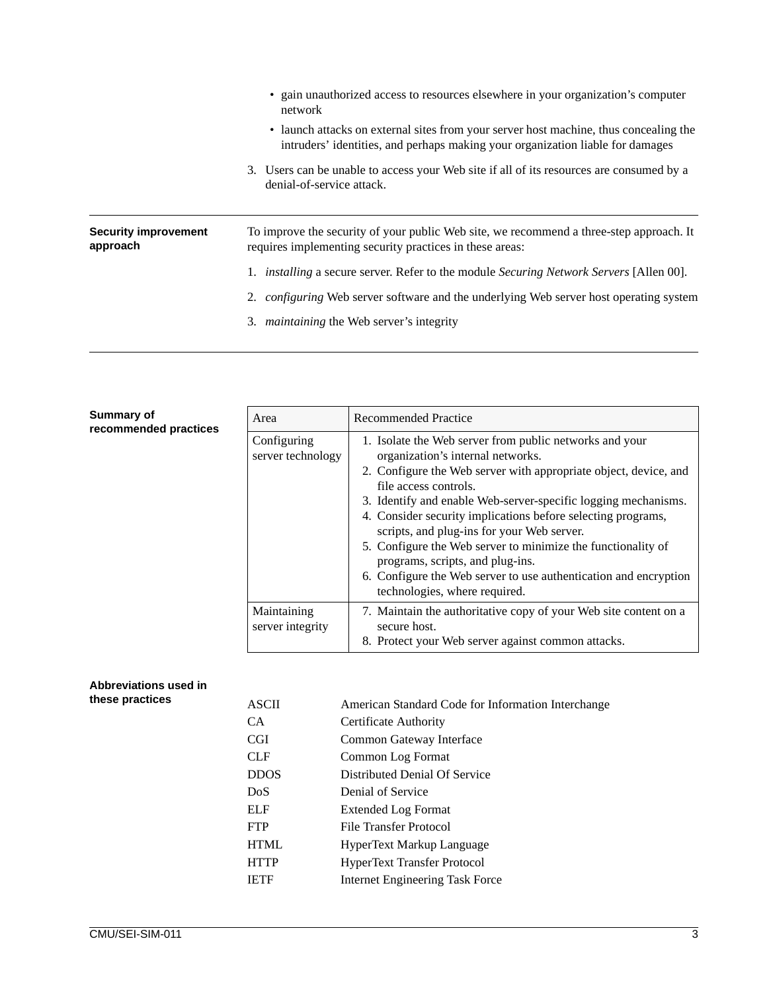| • launch attacks on external sites from your server host machine, thus concealing the                 |
|-------------------------------------------------------------------------------------------------------|
| 3. Users can be unable to access your Web site if all of its resources are consumed by a              |
| To improve the security of your public Web site, we recommend a three-step approach. It               |
| 1. <i>installing</i> a secure server. Refer to the module <i>Securing Network Servers</i> [Allen 00]. |
| 2. <i>configuring</i> Web server software and the underlying Web server host operating system         |
|                                                                                                       |
| intruders' identities, and perhaps making your organization liable for damages                        |

| Summary of<br>recommended practices | Area                             | <b>Recommended Practice</b>                                                                                                                                                                                                                                                                                                                                                                                                                                                                                                                                                        |
|-------------------------------------|----------------------------------|------------------------------------------------------------------------------------------------------------------------------------------------------------------------------------------------------------------------------------------------------------------------------------------------------------------------------------------------------------------------------------------------------------------------------------------------------------------------------------------------------------------------------------------------------------------------------------|
|                                     | Configuring<br>server technology | 1. Isolate the Web server from public networks and your<br>organization's internal networks.<br>2. Configure the Web server with appropriate object, device, and<br>file access controls.<br>3. Identify and enable Web-server-specific logging mechanisms.<br>4. Consider security implications before selecting programs,<br>scripts, and plug-ins for your Web server.<br>5. Configure the Web server to minimize the functionality of<br>programs, scripts, and plug-ins.<br>6. Configure the Web server to use authentication and encryption<br>technologies, where required. |
|                                     | Maintaining<br>server integrity  | 7. Maintain the authoritative copy of your Web site content on a<br>secure host.<br>8. Protect your Web server against common attacks.                                                                                                                                                                                                                                                                                                                                                                                                                                             |

### **Abbreviations used in**  these practices

| <b>ASCII</b>     | American Standard Code for Information Interchange |
|------------------|----------------------------------------------------|
| CA.              | Certificate Authority                              |
| <b>CGI</b>       | Common Gateway Interface                           |
| <b>CLF</b>       | Common Log Format                                  |
| <b>DDOS</b>      | Distributed Denial Of Service                      |
| D <sub>o</sub> S | Denial of Service                                  |
| <b>ELF</b>       | <b>Extended Log Format</b>                         |
| <b>FTP</b>       | File Transfer Protocol                             |
| <b>HTML</b>      | HyperText Markup Language                          |
| <b>HTTP</b>      | HyperText Transfer Protocol                        |
| <b>IETF</b>      | <b>Internet Engineering Task Force</b>             |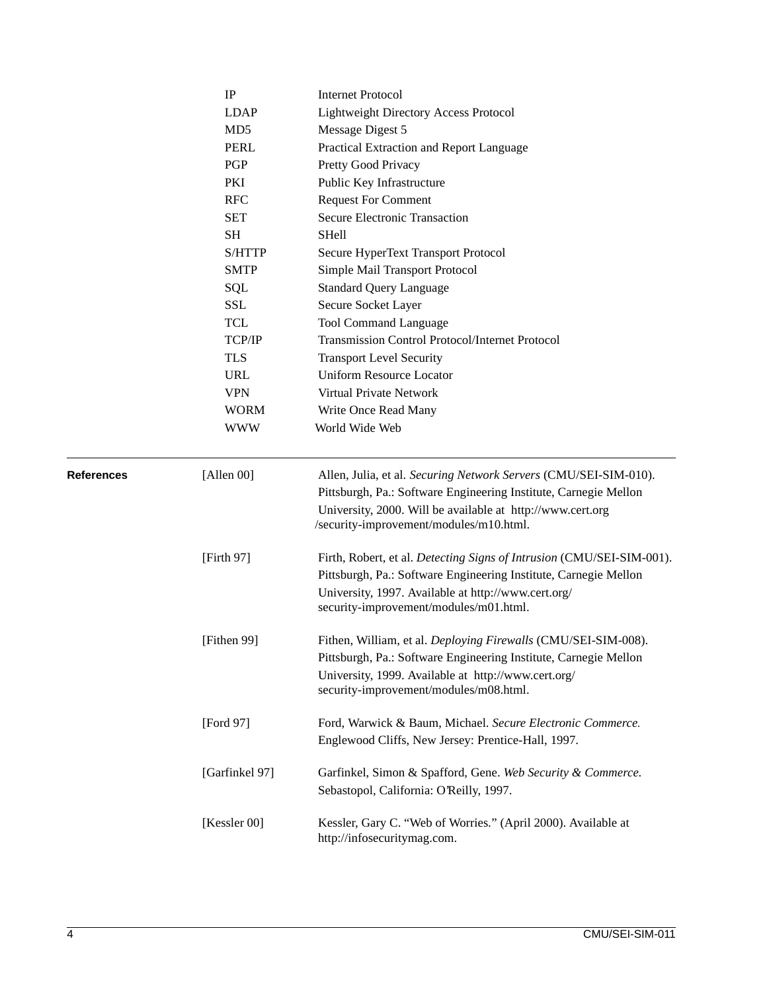|                   | IP              | <b>Internet Protocol</b>                                                                                                                                                                                                                      |
|-------------------|-----------------|-----------------------------------------------------------------------------------------------------------------------------------------------------------------------------------------------------------------------------------------------|
|                   | <b>LDAP</b>     | Lightweight Directory Access Protocol                                                                                                                                                                                                         |
|                   | MD <sub>5</sub> | Message Digest 5                                                                                                                                                                                                                              |
|                   | <b>PERL</b>     | Practical Extraction and Report Language                                                                                                                                                                                                      |
|                   | PGP             | Pretty Good Privacy                                                                                                                                                                                                                           |
|                   | PKI             | Public Key Infrastructure                                                                                                                                                                                                                     |
|                   | <b>RFC</b>      | <b>Request For Comment</b>                                                                                                                                                                                                                    |
|                   | <b>SET</b>      | Secure Electronic Transaction                                                                                                                                                                                                                 |
|                   | SН              | <b>SHell</b>                                                                                                                                                                                                                                  |
|                   | S/HTTP          | Secure HyperText Transport Protocol                                                                                                                                                                                                           |
|                   | <b>SMTP</b>     | Simple Mail Transport Protocol                                                                                                                                                                                                                |
|                   | SQL             | <b>Standard Query Language</b>                                                                                                                                                                                                                |
|                   | SSL             | Secure Socket Layer                                                                                                                                                                                                                           |
|                   | TCL             | <b>Tool Command Language</b>                                                                                                                                                                                                                  |
|                   | TCP/IP          | Transmission Control Protocol/Internet Protocol                                                                                                                                                                                               |
|                   | <b>TLS</b>      | <b>Transport Level Security</b>                                                                                                                                                                                                               |
|                   | <b>URL</b>      | <b>Uniform Resource Locator</b>                                                                                                                                                                                                               |
|                   | <b>VPN</b>      | Virtual Private Network                                                                                                                                                                                                                       |
|                   | <b>WORM</b>     | Write Once Read Many                                                                                                                                                                                                                          |
|                   | <b>WWW</b>      | World Wide Web                                                                                                                                                                                                                                |
| <b>References</b> | [Allen 00]      | Allen, Julia, et al. Securing Network Servers (CMU/SEI-SIM-010).<br>Pittsburgh, Pa.: Software Engineering Institute, Carnegie Mellon<br>University, 2000. Will be available at http://www.cert.org<br>/security-improvement/modules/m10.html. |
|                   | [Firth 97]      | Firth, Robert, et al. Detecting Signs of Intrusion (CMU/SEI-SIM-001).<br>Pittsburgh, Pa.: Software Engineering Institute, Carnegie Mellon<br>University, 1997. Available at http://www.cert.org/<br>security-improvement/modules/m01.html.    |
|                   | [Fithen 99]     | Fithen, William, et al. Deploying Firewalls (CMU/SEI-SIM-008).<br>Pittsburgh, Pa.: Software Engineering Institute, Carnegie Mellon<br>University, 1999. Available at http://www.cert.org/<br>security-improvement/modules/m08.html.           |
|                   | [Ford 97]       | Ford, Warwick & Baum, Michael. Secure Electronic Commerce.<br>Englewood Cliffs, New Jersey: Prentice-Hall, 1997.                                                                                                                              |
|                   | [Garfinkel 97]  | Garfinkel, Simon & Spafford, Gene. Web Security & Commerce.<br>Sebastopol, California: O'Reilly, 1997.                                                                                                                                        |
|                   | [Kessler 00]    | Kessler, Gary C. "Web of Worries." (April 2000). Available at<br>http://infosecuritymag.com.                                                                                                                                                  |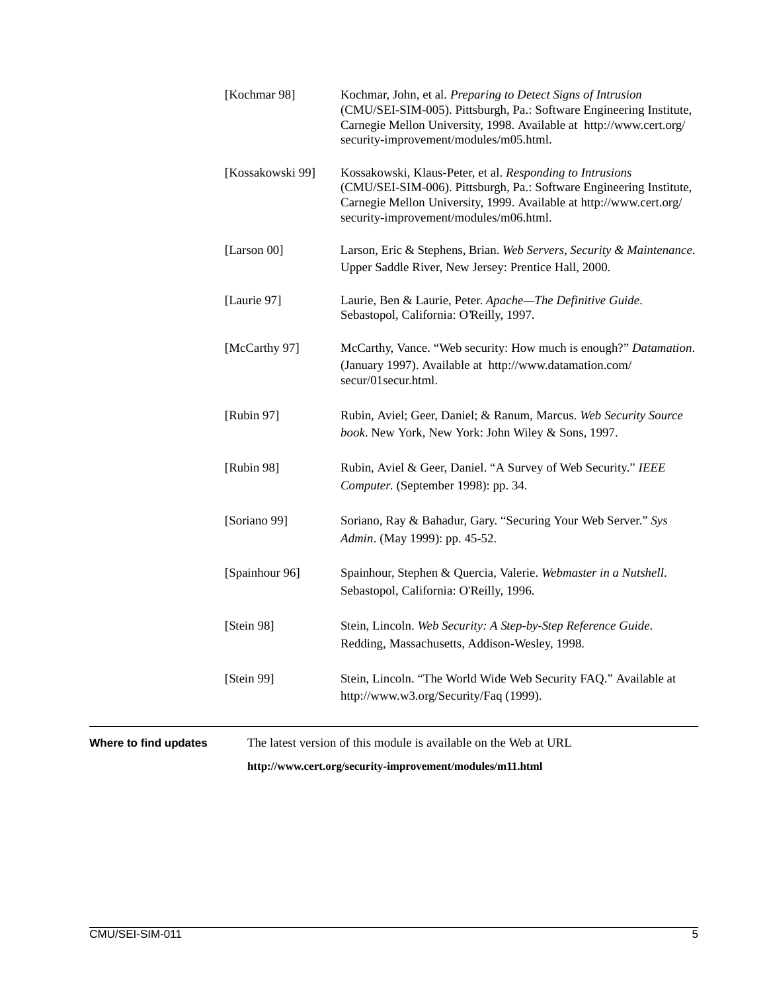|                       | [Kochmar 98]     | Kochmar, John, et al. Preparing to Detect Signs of Intrusion<br>(CMU/SEI-SIM-005). Pittsburgh, Pa.: Software Engineering Institute,<br>Carnegie Mellon University, 1998. Available at http://www.cert.org/<br>security-improvement/modules/m05.html. |
|-----------------------|------------------|------------------------------------------------------------------------------------------------------------------------------------------------------------------------------------------------------------------------------------------------------|
|                       | [Kossakowski 99] | Kossakowski, Klaus-Peter, et al. Responding to Intrusions<br>(CMU/SEI-SIM-006). Pittsburgh, Pa.: Software Engineering Institute,<br>Carnegie Mellon University, 1999. Available at http://www.cert.org/<br>security-improvement/modules/m06.html.    |
|                       | [Larson 00]      | Larson, Eric & Stephens, Brian. Web Servers, Security & Maintenance.<br>Upper Saddle River, New Jersey: Prentice Hall, 2000.                                                                                                                         |
|                       | [Laurie 97]      | Laurie, Ben & Laurie, Peter. Apache-The Definitive Guide.<br>Sebastopol, California: O'Reilly, 1997.                                                                                                                                                 |
|                       | [McCarthy 97]    | McCarthy, Vance. "Web security: How much is enough?" Datamation.<br>(January 1997). Available at http://www.datamation.com/<br>secur/01 secur.html.                                                                                                  |
|                       | [Rubin 97]       | Rubin, Aviel; Geer, Daniel; & Ranum, Marcus. Web Security Source<br>book. New York, New York: John Wiley & Sons, 1997.                                                                                                                               |
|                       | [Rubin 98]       | Rubin, Aviel & Geer, Daniel. "A Survey of Web Security." IEEE<br>Computer. (September 1998): pp. 34.                                                                                                                                                 |
|                       | [Soriano 99]     | Soriano, Ray & Bahadur, Gary. "Securing Your Web Server." Sys<br>Admin. (May 1999): pp. 45-52.                                                                                                                                                       |
|                       | [Spainhour 96]   | Spainhour, Stephen & Quercia, Valerie. Webmaster in a Nutshell.<br>Sebastopol, California: O'Reilly, 1996.                                                                                                                                           |
|                       | [Stein 98]       | Stein, Lincoln. Web Security: A Step-by-Step Reference Guide.<br>Redding, Massachusetts, Addison-Wesley, 1998.                                                                                                                                       |
|                       | [Stein 99]       | Stein, Lincoln. "The World Wide Web Security FAQ." Available at<br>http://www.w3.org/Security/Faq (1999).                                                                                                                                            |
| Where to find updates |                  | The latest version of this module is available on the Web at URL                                                                                                                                                                                     |

**http://www.cert.org/security-improvement/modules/m11.html**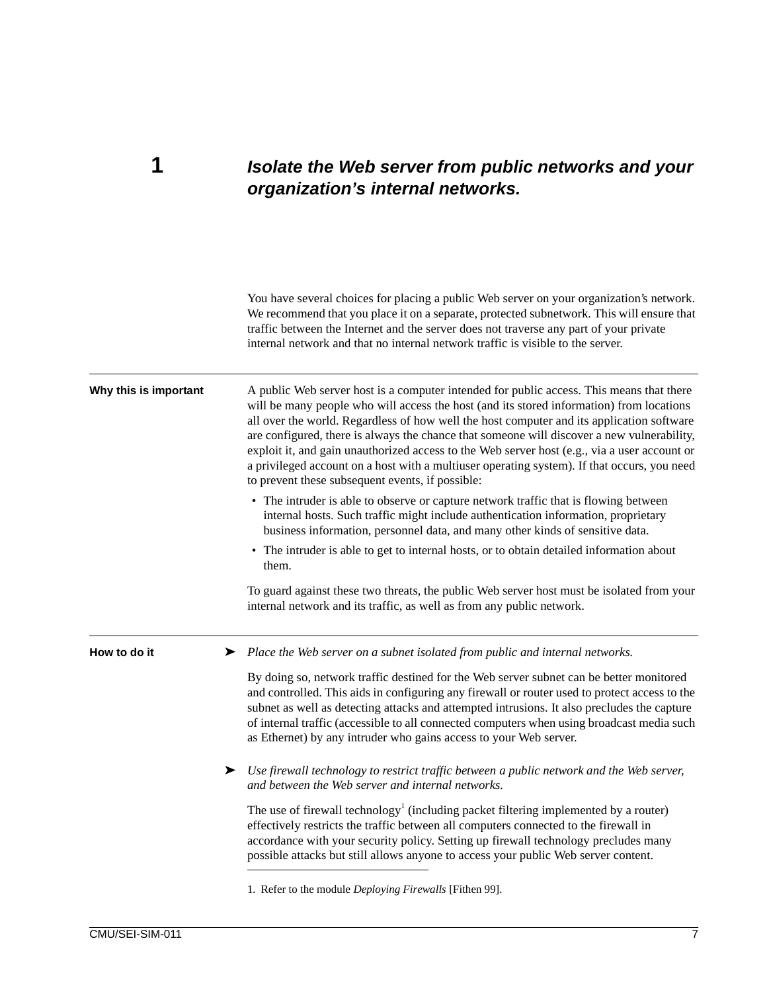### **1** *Isolate the Web server from public networks and your organization's internal networks.*

You have several choices for placing a public Web server on your organization's network. We recommend that you place it on a separate, protected subnetwork. This will ensure that traffic between the Internet and the server does not traverse any part of your private internal network and that no internal network traffic is visible to the server. Why this is important A public Web server host is a computer intended for public access. This means that there will be many people who will access the host (and its stored information) from locations all over the world. Regardless of how well the host computer and its application software are configured, there is always the chance that someone will discover a new vulnerability, exploit it, and gain unauthorized access to the Web server host (e.g., via a user account or a privileged account on a host with a multiuser operating system). If that occurs, you need to prevent these subsequent events, if possible: • The intruder is able to observe or capture network traffic that is flowing between internal hosts. Such traffic might include authentication information, proprietary business information, personnel data, and many other kinds of sensitive data. • The intruder is able to get to internal hosts, or to obtain detailed information about them. To guard against these two threats, the public Web server host must be isolated from your internal network and its traffic, as well as from any public network. **How to do it** ► *Place the Web server on a subnet isolated from public and internal networks.* By doing so, network traffic destined for the Web server subnet can be better monitored and controlled. This aids in configuring any firewall or router used to protect access to the subnet as well as detecting attacks and attempted intrusions. It also precludes the capture of internal traffic (accessible to all connected computers when using broadcast media such as Ethernet) by any intruder who gains access to your Web server. ➤ *Use firewall technology to restrict traffic between a public network and the Web server, and between the Web server and internal networks.* The use of firewall technology<sup>1</sup> (including packet filtering implemented by a router) effectively restricts the traffic between all computers connected to the firewall in accordance with your security policy. Setting up firewall technology precludes many possible attacks but still allows anyone to access your public Web server content. 1. Refer to the module *Deploying Firewalls* [Fithen 99].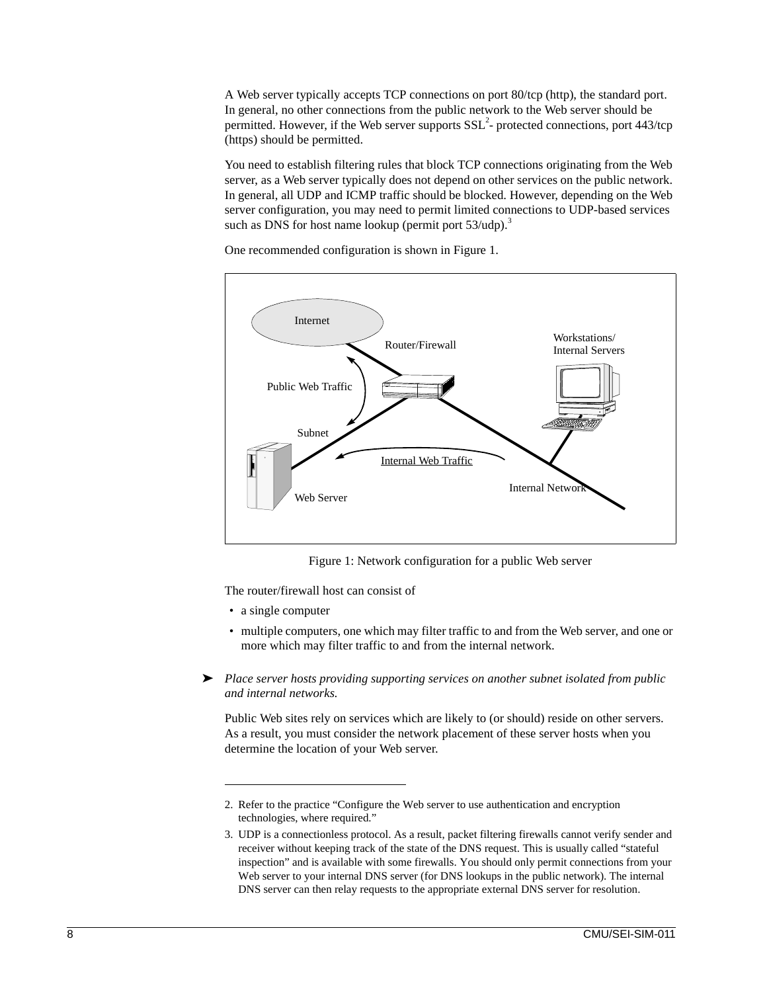A Web server typically accepts TCP connections on port 80/tcp (http), the standard port. In general, no other connections from the public network to the Web server should be permitted. However, if the Web server supports  $SSL<sup>2</sup>$ -protected connections, port 443/tcp (https) should be permitted.

You need to establish filtering rules that block TCP connections originating from the Web server, as a Web server typically does not depend on other services on the public network. In general, all UDP and ICMP traffic should be blocked. However, depending on the Web server configuration, you may need to permit limited connections to UDP-based services such as DNS for host name lookup (permit port  $53/udp$ ).<sup>3</sup>

One recommended configuration is shown in Figure [1.](#page-15-0)



Figure 1: Network configuration for a public Web server

<span id="page-15-0"></span>The router/firewall host can consist of

- a single computer
- multiple computers, one which may filter traffic to and from the Web server, and one or more which may filter traffic to and from the internal network.
- ➤ *Place server hosts providing supporting services on another subnet isolated from public and internal networks.*

Public Web sites rely on services which are likely to (or should) reside on other servers. As a result, you must consider the network placement of these server hosts when you determine the location of your Web server.

<sup>2.</sup> Refer to the practice "Configure the Web server to use authentication and encryption technologies, where required."

<sup>3.</sup> UDP is a connectionless protocol. As a result, packet filtering firewalls cannot verify sender and receiver without keeping track of the state of the DNS request. This is usually called "stateful inspection" and is available with some firewalls. You should only permit connections from your Web server to your internal DNS server (for DNS lookups in the public network). The internal DNS server can then relay requests to the appropriate external DNS server for resolution.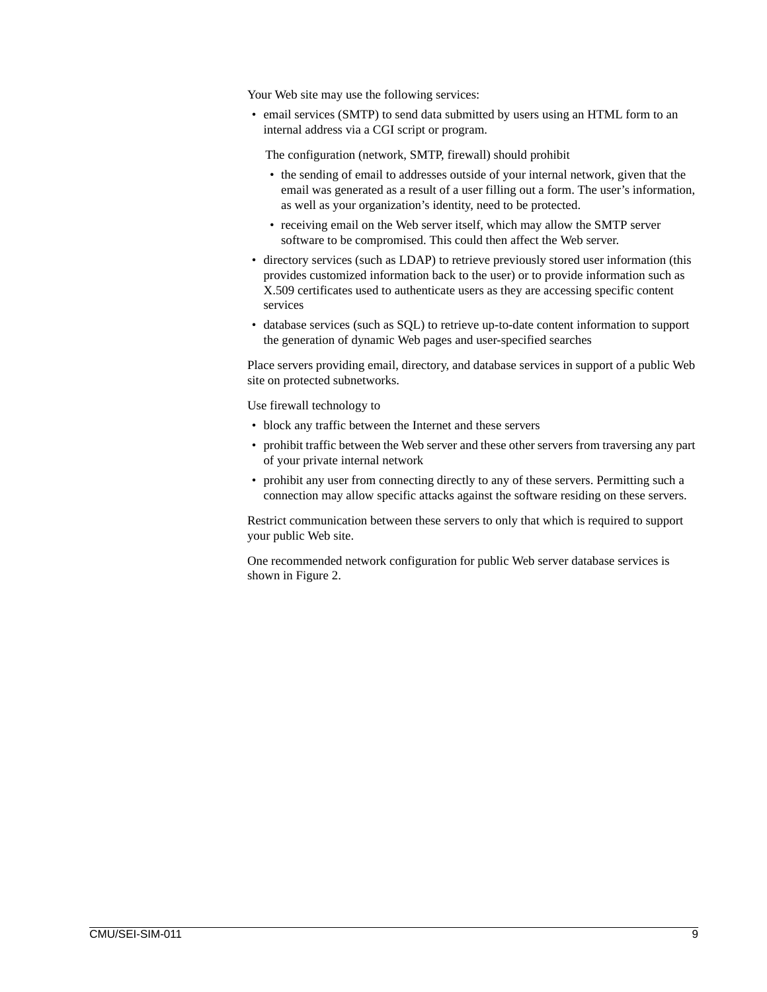Your Web site may use the following services:

• email services (SMTP) to send data submitted by users using an HTML form to an internal address via a CGI script or program.

The configuration (network, SMTP, firewall) should prohibit

- the sending of email to addresses outside of your internal network, given that the email was generated as a result of a user filling out a form. The user's information, as well as your organization's identity, need to be protected.
- receiving email on the Web server itself, which may allow the SMTP server software to be compromised. This could then affect the Web server.
- directory services (such as LDAP) to retrieve previously stored user information (this provides customized information back to the user) or to provide information such as X.509 certificates used to authenticate users as they are accessing specific content services
- database services (such as SQL) to retrieve up-to-date content information to support the generation of dynamic Web pages and user-specified searches

Place servers providing email, directory, and database services in support of a public Web site on protected subnetworks.

Use firewall technology to

- block any traffic between the Internet and these servers
- prohibit traffic between the Web server and these other servers from traversing any part of your private internal network
- prohibit any user from connecting directly to any of these servers. Permitting such a connection may allow specific attacks against the software residing on these servers.

Restrict communication between these servers to only that which is required to support your public Web site.

One recommended network configuration for public Web server database services is shown in Figure 2.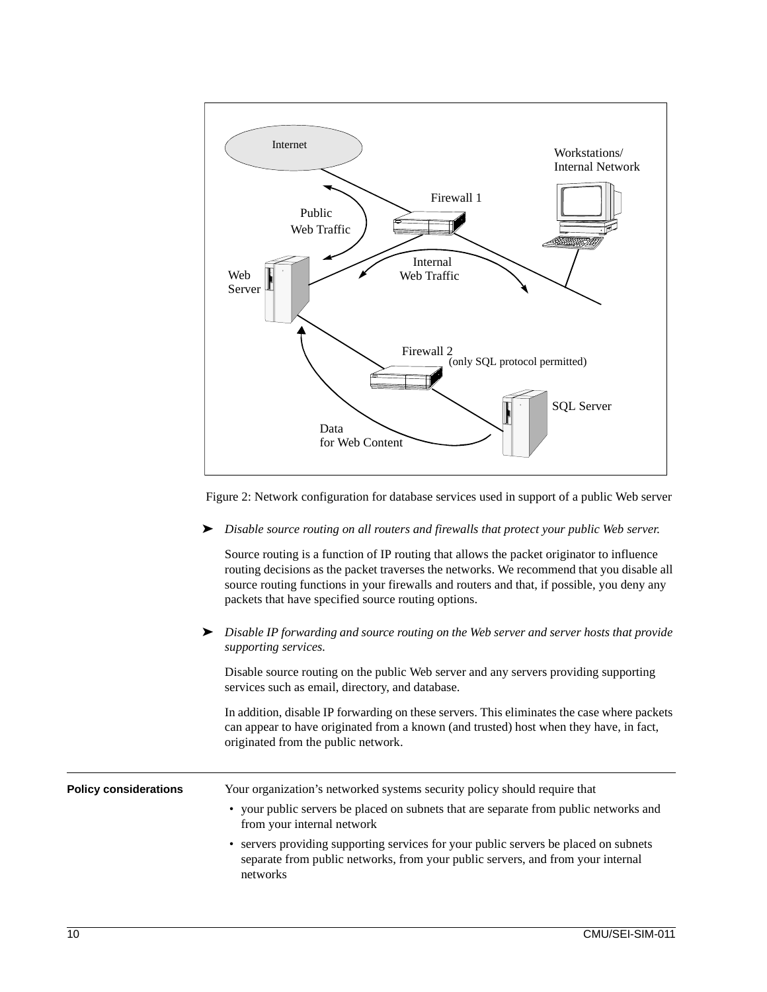

Figure 2: Network configuration for database services used in support of a public Web server

➤ *Disable source routing on all routers and firewalls that protect your public Web server.*

Source routing is a function of IP routing that allows the packet originator to influence routing decisions as the packet traverses the networks. We recommend that you disable all source routing functions in your firewalls and routers and that, if possible, you deny any packets that have specified source routing options.

➤ *Disable IP forwarding and source routing on the Web server and server hosts that provide supporting services.*

Disable source routing on the public Web server and any servers providing supporting services such as email, directory, and database.

In addition, disable IP forwarding on these servers. This eliminates the case where packets can appear to have originated from a known (and trusted) host when they have, in fact, originated from the public network.

| <b>Policy considerations</b> | Your organization's networked systems security policy should require that<br>• your public servers be placed on subnets that are separate from public networks and<br>from your internal network |
|------------------------------|--------------------------------------------------------------------------------------------------------------------------------------------------------------------------------------------------|
|                              | • servers providing supporting services for your public servers be placed on subnets<br>separate from public networks, from your public servers, and from your internal<br>networks              |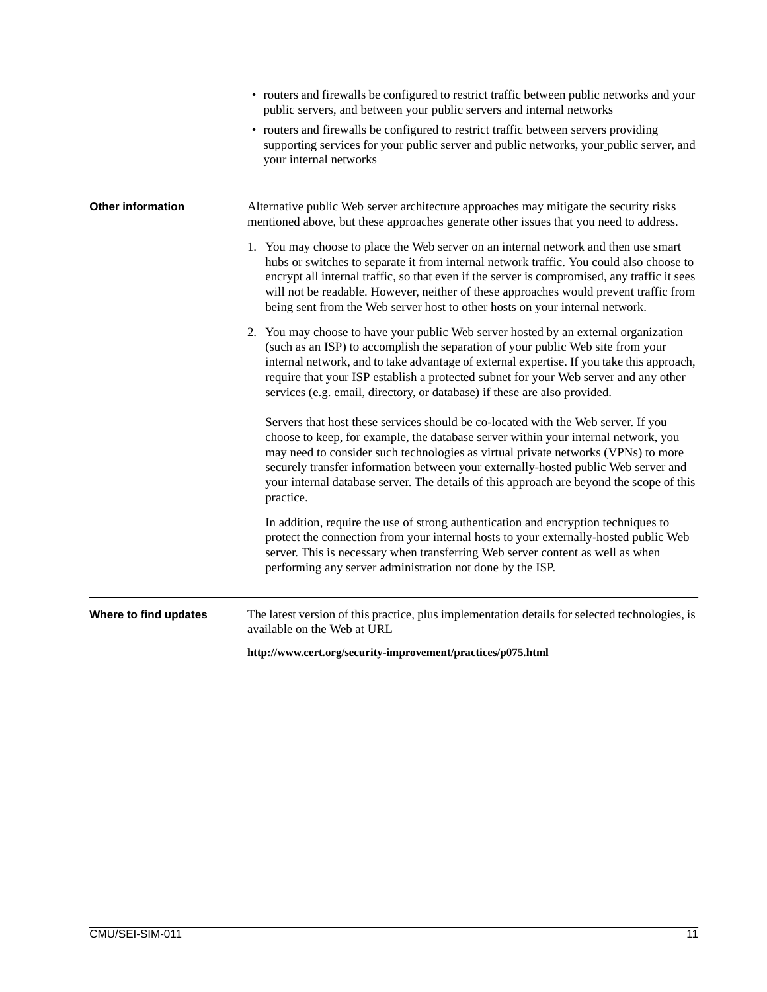|                          | • routers and firewalls be configured to restrict traffic between public networks and your<br>public servers, and between your public servers and internal networks                                                                                                                                                                                                                                                                                         |
|--------------------------|-------------------------------------------------------------------------------------------------------------------------------------------------------------------------------------------------------------------------------------------------------------------------------------------------------------------------------------------------------------------------------------------------------------------------------------------------------------|
|                          | • routers and firewalls be configured to restrict traffic between servers providing<br>supporting services for your public server and public networks, your public server, and<br>your internal networks                                                                                                                                                                                                                                                    |
| <b>Other information</b> | Alternative public Web server architecture approaches may mitigate the security risks<br>mentioned above, but these approaches generate other issues that you need to address.                                                                                                                                                                                                                                                                              |
|                          | 1. You may choose to place the Web server on an internal network and then use smart<br>hubs or switches to separate it from internal network traffic. You could also choose to<br>encrypt all internal traffic, so that even if the server is compromised, any traffic it sees<br>will not be readable. However, neither of these approaches would prevent traffic from<br>being sent from the Web server host to other hosts on your internal network.     |
|                          | 2. You may choose to have your public Web server hosted by an external organization<br>(such as an ISP) to accomplish the separation of your public Web site from your<br>internal network, and to take advantage of external expertise. If you take this approach,<br>require that your ISP establish a protected subnet for your Web server and any other<br>services (e.g. email, directory, or database) if these are also provided.                    |
|                          | Servers that host these services should be co-located with the Web server. If you<br>choose to keep, for example, the database server within your internal network, you<br>may need to consider such technologies as virtual private networks (VPNs) to more<br>securely transfer information between your externally-hosted public Web server and<br>your internal database server. The details of this approach are beyond the scope of this<br>practice. |
|                          | In addition, require the use of strong authentication and encryption techniques to<br>protect the connection from your internal hosts to your externally-hosted public Web<br>server. This is necessary when transferring Web server content as well as when<br>performing any server administration not done by the ISP.                                                                                                                                   |
| Where to find updates    | The latest version of this practice, plus implementation details for selected technologies, is<br>available on the Web at URL                                                                                                                                                                                                                                                                                                                               |
|                          | http://www.cert.org/security-improvement/practices/p075.html                                                                                                                                                                                                                                                                                                                                                                                                |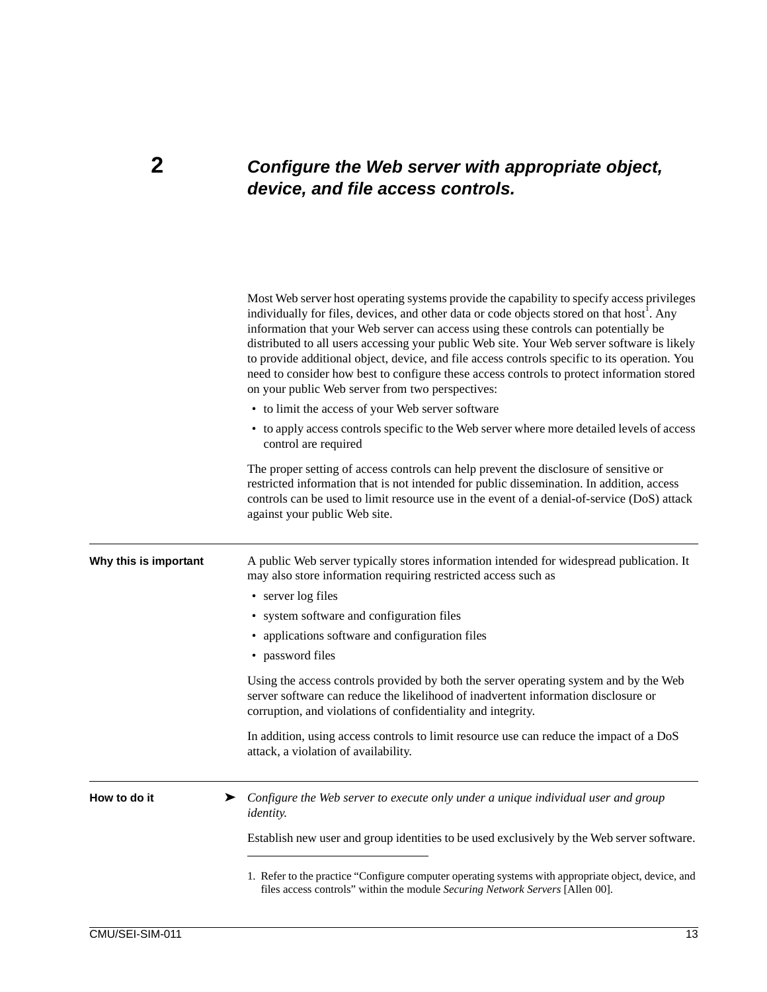### **2** *Configure the Web server with appropriate object, device, and file access controls.*

|                       | Most Web server host operating systems provide the capability to specify access privileges<br>individually for files, devices, and other data or code objects stored on that host <sup>1</sup> . Any<br>information that your Web server can access using these controls can potentially be<br>distributed to all users accessing your public Web site. Your Web server software is likely<br>to provide additional object, device, and file access controls specific to its operation. You<br>need to consider how best to configure these access controls to protect information stored<br>on your public Web server from two perspectives: |  |  |  |
|-----------------------|-----------------------------------------------------------------------------------------------------------------------------------------------------------------------------------------------------------------------------------------------------------------------------------------------------------------------------------------------------------------------------------------------------------------------------------------------------------------------------------------------------------------------------------------------------------------------------------------------------------------------------------------------|--|--|--|
|                       | • to limit the access of your Web server software                                                                                                                                                                                                                                                                                                                                                                                                                                                                                                                                                                                             |  |  |  |
|                       | • to apply access controls specific to the Web server where more detailed levels of access<br>control are required                                                                                                                                                                                                                                                                                                                                                                                                                                                                                                                            |  |  |  |
|                       | The proper setting of access controls can help prevent the disclosure of sensitive or<br>restricted information that is not intended for public dissemination. In addition, access<br>controls can be used to limit resource use in the event of a denial-of-service (DoS) attack<br>against your public Web site.                                                                                                                                                                                                                                                                                                                            |  |  |  |
| Why this is important | A public Web server typically stores information intended for widespread publication. It<br>may also store information requiring restricted access such as                                                                                                                                                                                                                                                                                                                                                                                                                                                                                    |  |  |  |
|                       | • server log files                                                                                                                                                                                                                                                                                                                                                                                                                                                                                                                                                                                                                            |  |  |  |
|                       | • system software and configuration files                                                                                                                                                                                                                                                                                                                                                                                                                                                                                                                                                                                                     |  |  |  |
|                       | • applications software and configuration files                                                                                                                                                                                                                                                                                                                                                                                                                                                                                                                                                                                               |  |  |  |
|                       | • password files                                                                                                                                                                                                                                                                                                                                                                                                                                                                                                                                                                                                                              |  |  |  |
|                       | Using the access controls provided by both the server operating system and by the Web<br>server software can reduce the likelihood of inadvertent information disclosure or<br>corruption, and violations of confidentiality and integrity.                                                                                                                                                                                                                                                                                                                                                                                                   |  |  |  |
|                       | In addition, using access controls to limit resource use can reduce the impact of a DoS<br>attack, a violation of availability.                                                                                                                                                                                                                                                                                                                                                                                                                                                                                                               |  |  |  |
| How to do it          | Configure the Web server to execute only under a unique individual user and group<br>➤<br><i>identity.</i>                                                                                                                                                                                                                                                                                                                                                                                                                                                                                                                                    |  |  |  |
|                       | Establish new user and group identities to be used exclusively by the Web server software.                                                                                                                                                                                                                                                                                                                                                                                                                                                                                                                                                    |  |  |  |
|                       | 1. Refer to the practice "Configure computer operating systems with appropriate object, device, and<br>files access controls" within the module Securing Network Servers [Allen 00].                                                                                                                                                                                                                                                                                                                                                                                                                                                          |  |  |  |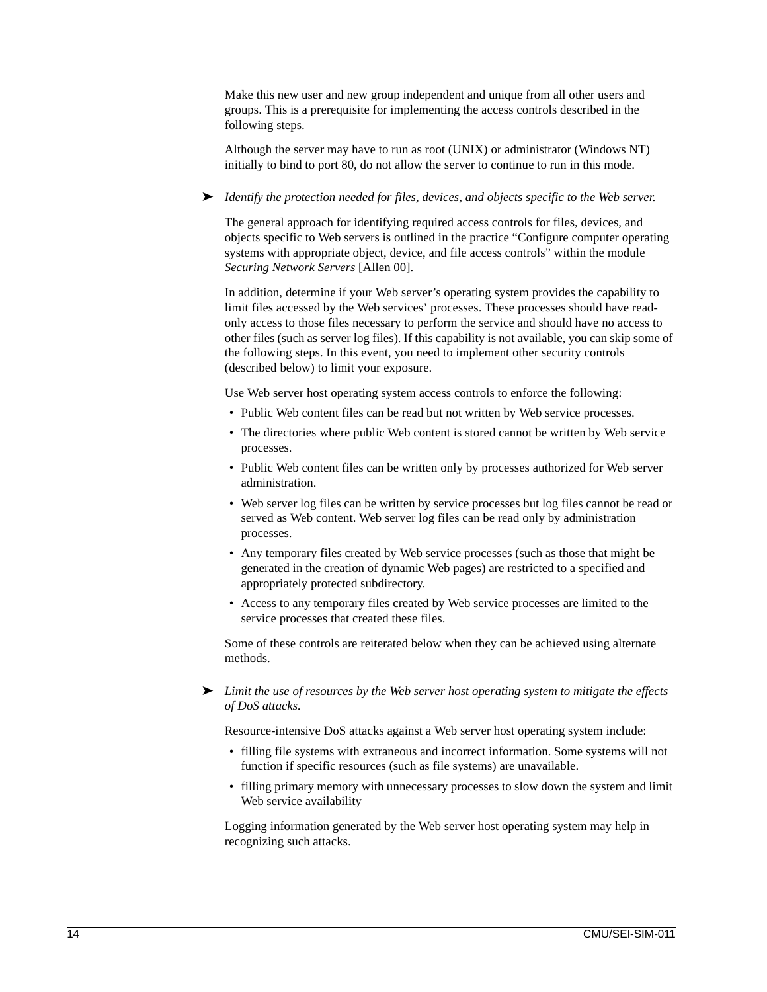Make this new user and new group independent and unique from all other users and groups. This is a prerequisite for implementing the access controls described in the following steps.

Although the server may have to run as root (UNIX) or administrator (Windows NT) initially to bind to port 80, do not allow the server to continue to run in this mode.

➤ *Identify the protection needed for files, devices, and objects specific to the Web server.*

The general approach for identifying required access controls for files, devices, and objects specific to Web servers is outlined in the practice "Configure computer operating systems with appropriate object, device, and file access controls" within the module *Securing Network Servers* [Allen 00].

In addition, determine if your Web server's operating system provides the capability to limit files accessed by the Web services' processes. These processes should have readonly access to those files necessary to perform the service and should have no access to other files (such as server log files). If this capability is not available, you can skip some of the following steps. In this event, you need to implement other security controls (described below) to limit your exposure.

Use Web server host operating system access controls to enforce the following:

- Public Web content files can be read but not written by Web service processes.
- The directories where public Web content is stored cannot be written by Web service processes.
- Public Web content files can be written only by processes authorized for Web server administration.
- Web server log files can be written by service processes but log files cannot be read or served as Web content. Web server log files can be read only by administration processes.
- Any temporary files created by Web service processes (such as those that might be generated in the creation of dynamic Web pages) are restricted to a specified and appropriately protected subdirectory.
- Access to any temporary files created by Web service processes are limited to the service processes that created these files.

Some of these controls are reiterated below when they can be achieved using alternate methods.

➤ *Limit the use of resources by the Web server host operating system to mitigate the effects of DoS attacks.*

Resource-intensive DoS attacks against a Web server host operating system include:

- filling file systems with extraneous and incorrect information. Some systems will not function if specific resources (such as file systems) are unavailable.
- filling primary memory with unnecessary processes to slow down the system and limit Web service availability

Logging information generated by the Web server host operating system may help in recognizing such attacks.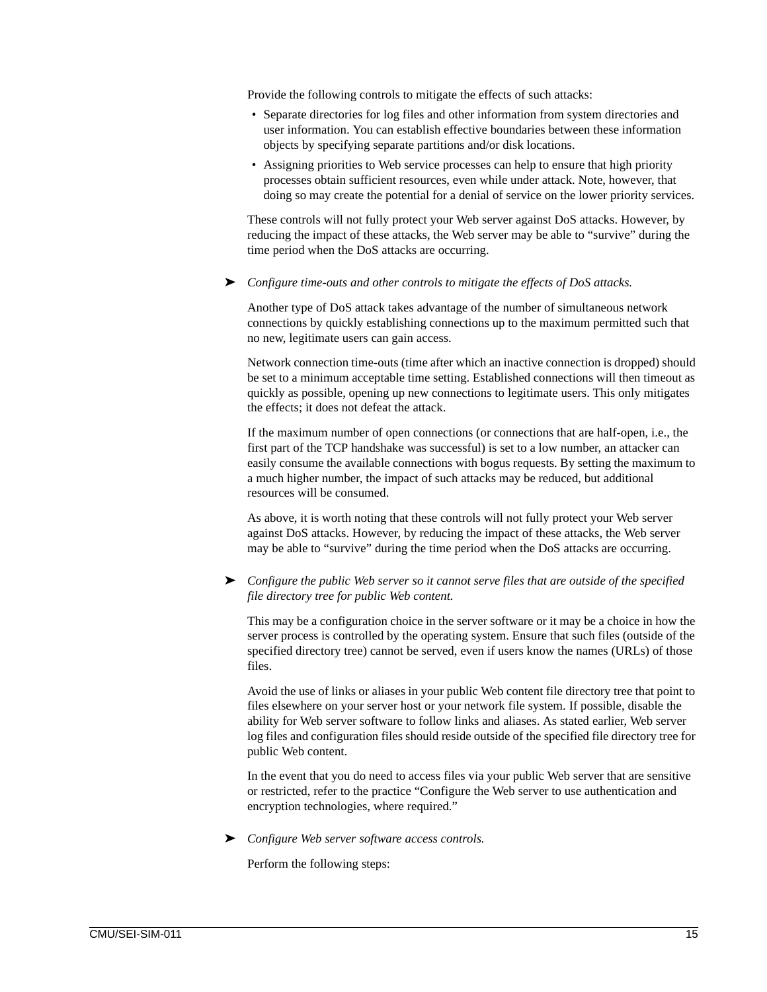Provide the following controls to mitigate the effects of such attacks:

- Separate directories for log files and other information from system directories and user information. You can establish effective boundaries between these information objects by specifying separate partitions and/or disk locations.
- Assigning priorities to Web service processes can help to ensure that high priority processes obtain sufficient resources, even while under attack. Note, however, that doing so may create the potential for a denial of service on the lower priority services.

These controls will not fully protect your Web server against DoS attacks. However, by reducing the impact of these attacks, the Web server may be able to "survive" during the time period when the DoS attacks are occurring.

➤ *Configure time-outs and other controls to mitigate the effects of DoS attacks.*

Another type of DoS attack takes advantage of the number of simultaneous network connections by quickly establishing connections up to the maximum permitted such that no new, legitimate users can gain access.

Network connection time-outs (time after which an inactive connection is dropped) should be set to a minimum acceptable time setting. Established connections will then timeout as quickly as possible, opening up new connections to legitimate users. This only mitigates the effects; it does not defeat the attack.

If the maximum number of open connections (or connections that are half-open, i.e., the first part of the TCP handshake was successful) is set to a low number, an attacker can easily consume the available connections with bogus requests. By setting the maximum to a much higher number, the impact of such attacks may be reduced, but additional resources will be consumed.

As above, it is worth noting that these controls will not fully protect your Web server against DoS attacks. However, by reducing the impact of these attacks, the Web server may be able to "survive" during the time period when the DoS attacks are occurring.

➤ *Configure the public Web server so it cannot serve files that are outside of the specified file directory tree for public Web content.*

This may be a configuration choice in the server software or it may be a choice in how the server process is controlled by the operating system. Ensure that such files (outside of the specified directory tree) cannot be served, even if users know the names (URLs) of those files.

Avoid the use of links or aliases in your public Web content file directory tree that point to files elsewhere on your server host or your network file system. If possible, disable the ability for Web server software to follow links and aliases. As stated earlier, Web server log files and configuration files should reside outside of the specified file directory tree for public Web content.

In the event that you do need to access files via your public Web server that are sensitive or restricted, refer to the practice "Configure the Web server to use authentication and encryption technologies, where required."

➤ *Configure Web server software access controls.*

Perform the following steps: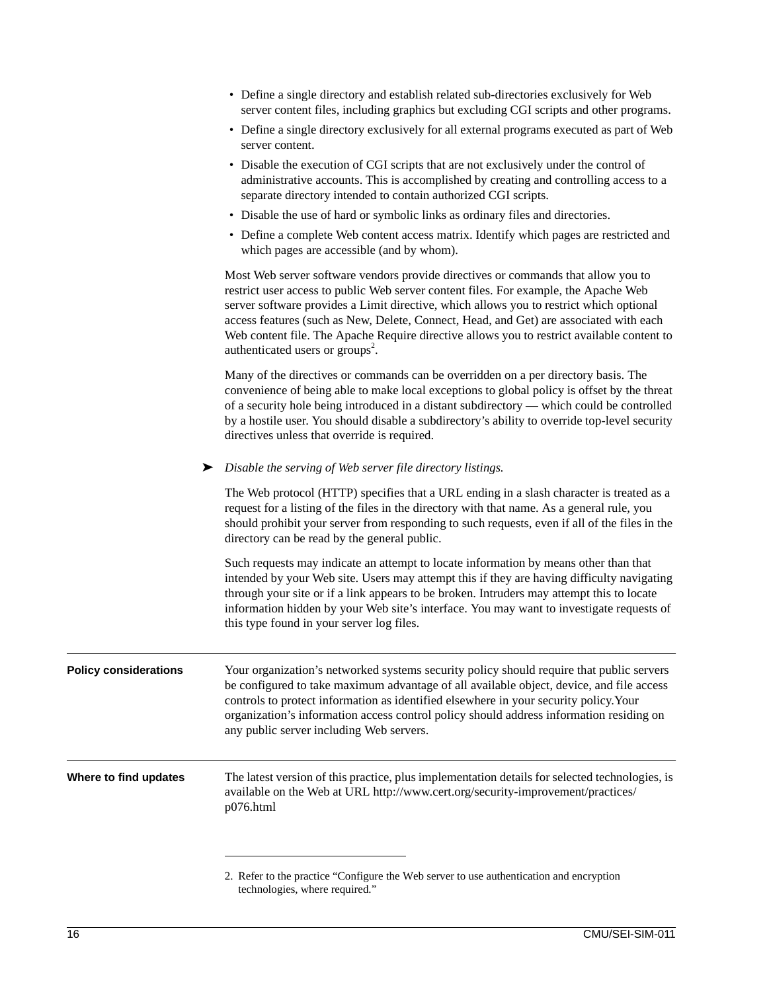| • Define a single directory and establish related sub-directories exclusively for Web  |
|----------------------------------------------------------------------------------------|
| server content files, including graphics but excluding CGI scripts and other programs. |

• Define a single directory exclusively for all external programs executed as part of Web server content.

| • Disable the execution of CGI scripts that are not exclusively under the control of  |
|---------------------------------------------------------------------------------------|
| administrative accounts. This is accomplished by creating and controlling access to a |
| separate directory intended to contain authorized CGI scripts.                        |

- Disable the use of hard or symbolic links as ordinary files and directories.
- Define a complete Web content access matrix. Identify which pages are restricted and which pages are accessible (and by whom).

Most Web server software vendors provide directives or commands that allow you to restrict user access to public Web server content files. For example, the Apache Web server software provides a Limit directive, which allows you to restrict which optional access features (such as New, Delete, Connect, Head, and Get) are associated with each Web content file. The Apache Require directive allows you to restrict available content to authenticated users or groups<sup>2</sup>.

Many of the directives or commands can be overridden on a per directory basis. The convenience of being able to make local exceptions to global policy is offset by the threat of a security hole being introduced in a distant subdirectory — which could be controlled by a hostile user. You should disable a subdirectory's ability to override top-level security directives unless that override is required.

➤ *Disable the serving of Web server file directory listings.*

The Web protocol (HTTP) specifies that a URL ending in a slash character is treated as a request for a listing of the files in the directory with that name. As a general rule, you should prohibit your server from responding to such requests, even if all of the files in the directory can be read by the general public.

Such requests may indicate an attempt to locate information by means other than that intended by your Web site. Users may attempt this if they are having difficulty navigating through your site or if a link appears to be broken. Intruders may attempt this to locate information hidden by your Web site's interface. You may want to investigate requests of this type found in your server log files.

**Policy considerations** Your organization's networked systems security policy should require that public servers be configured to take maximum advantage of all available object, device, and file access controls to protect information as identified elsewhere in your security policy.Your organization's information access control policy should address information residing on any public server including Web servers.

**Where to find updates** The latest version of this practice, plus implementation details for selected technologies, is available on the Web at URL http://www.cert.org/security-improvement/practices/ p076.html

<sup>2.</sup> Refer to the practice "Configure the Web server to use authentication and encryption technologies, where required."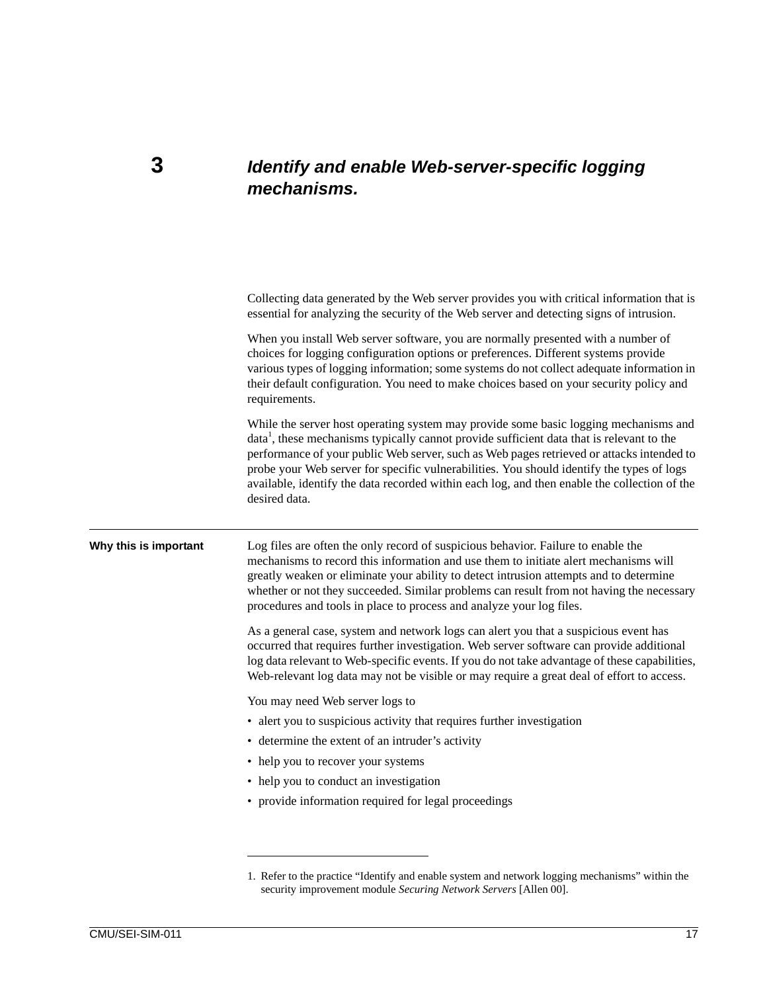### **3** *Identify and enable Web-server-specific logging mechanisms.*

|                       | Collecting data generated by the Web server provides you with critical information that is<br>essential for analyzing the security of the Web server and detecting signs of intrusion.                                                                                                                                                                                                                                                                                                                   |
|-----------------------|----------------------------------------------------------------------------------------------------------------------------------------------------------------------------------------------------------------------------------------------------------------------------------------------------------------------------------------------------------------------------------------------------------------------------------------------------------------------------------------------------------|
|                       | When you install Web server software, you are normally presented with a number of<br>choices for logging configuration options or preferences. Different systems provide<br>various types of logging information; some systems do not collect adequate information in<br>their default configuration. You need to make choices based on your security policy and<br>requirements.                                                                                                                        |
|                       | While the server host operating system may provide some basic logging mechanisms and<br>data <sup>1</sup> , these mechanisms typically cannot provide sufficient data that is relevant to the<br>performance of your public Web server, such as Web pages retrieved or attacks intended to<br>probe your Web server for specific vulnerabilities. You should identify the types of logs<br>available, identify the data recorded within each log, and then enable the collection of the<br>desired data. |
| Why this is important | Log files are often the only record of suspicious behavior. Failure to enable the<br>mechanisms to record this information and use them to initiate alert mechanisms will<br>greatly weaken or eliminate your ability to detect intrusion attempts and to determine<br>whether or not they succeeded. Similar problems can result from not having the necessary<br>procedures and tools in place to process and analyze your log files.                                                                  |
|                       | As a general case, system and network logs can alert you that a suspicious event has<br>occurred that requires further investigation. Web server software can provide additional<br>log data relevant to Web-specific events. If you do not take advantage of these capabilities,<br>Web-relevant log data may not be visible or may require a great deal of effort to access.                                                                                                                           |
|                       | You may need Web server logs to                                                                                                                                                                                                                                                                                                                                                                                                                                                                          |
|                       | • alert you to suspicious activity that requires further investigation                                                                                                                                                                                                                                                                                                                                                                                                                                   |
|                       | • determine the extent of an intruder's activity                                                                                                                                                                                                                                                                                                                                                                                                                                                         |
|                       | • help you to recover your systems                                                                                                                                                                                                                                                                                                                                                                                                                                                                       |
|                       | • help you to conduct an investigation                                                                                                                                                                                                                                                                                                                                                                                                                                                                   |
|                       | • provide information required for legal proceedings                                                                                                                                                                                                                                                                                                                                                                                                                                                     |
|                       |                                                                                                                                                                                                                                                                                                                                                                                                                                                                                                          |
|                       |                                                                                                                                                                                                                                                                                                                                                                                                                                                                                                          |

<sup>1.</sup> Refer to the practice "Identify and enable system and network logging mechanisms" within the security improvement module *Securing Network Servers* [Allen 00].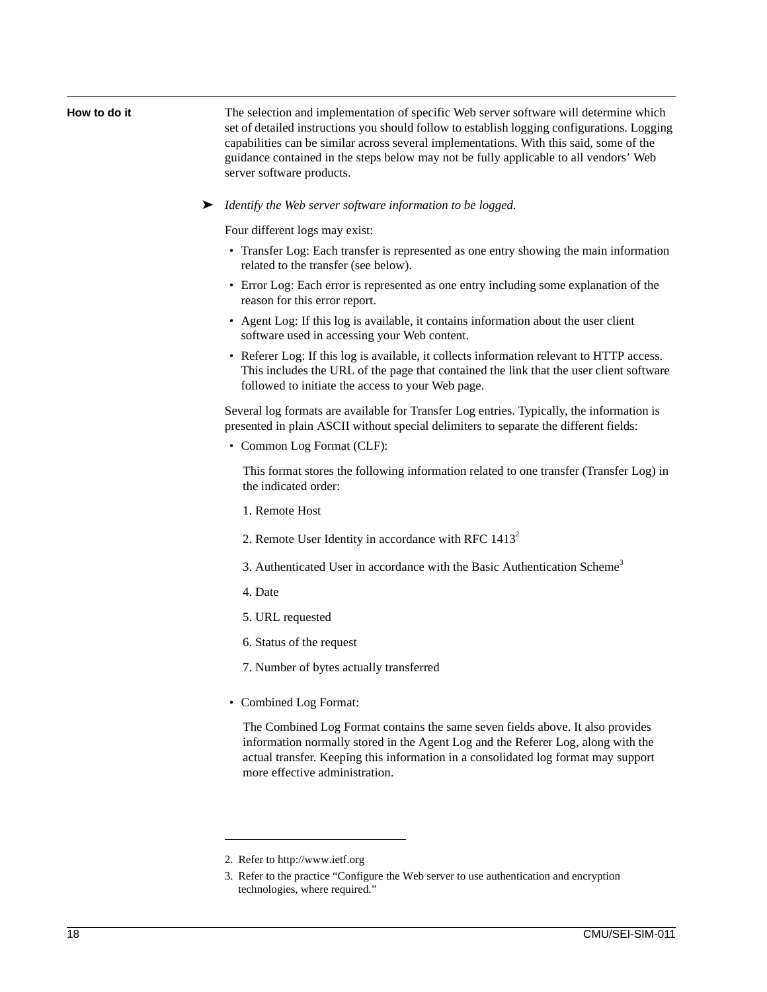**How to do it** The selection and implementation of specific Web server software will determine which set of detailed instructions you should follow to establish logging configurations. Logging capabilities can be similar across several implementations. With this said, some of the guidance contained in the steps below may not be fully applicable to all vendors' Web server software products.

➤ *Identify the Web server software information to be logged.*

Four different logs may exist:

- Transfer Log: Each transfer is represented as one entry showing the main information related to the transfer (see below).
- Error Log: Each error is represented as one entry including some explanation of the reason for this error report.
- Agent Log: If this log is available, it contains information about the user client software used in accessing your Web content.
- Referer Log: If this log is available, it collects information relevant to HTTP access. This includes the URL of the page that contained the link that the user client software followed to initiate the access to your Web page.

Several log formats are available for Transfer Log entries. Typically, the information is presented in plain ASCII without special delimiters to separate the different fields:

• Common Log Format (CLF):

This format stores the following information related to one transfer (Transfer Log) in the indicated order:

- 1. Remote Host
- 2. Remote User Identity in accordance with RFC  $1413^2$
- 3. Authenticated User in accordance with the Basic Authentication Scheme<sup>3</sup>
- 4. Date
- 5. URL requested
- 6. Status of the request
- 7. Number of bytes actually transferred
- Combined Log Format:

The Combined Log Format contains the same seven fields above. It also provides information normally stored in the Agent Log and the Referer Log, along with the actual transfer. Keeping this information in a consolidated log format may support more effective administration.

<sup>2.</sup> Refer to http://www.ietf.org

<sup>3.</sup> Refer to the practice "Configure the Web server to use authentication and encryption technologies, where required."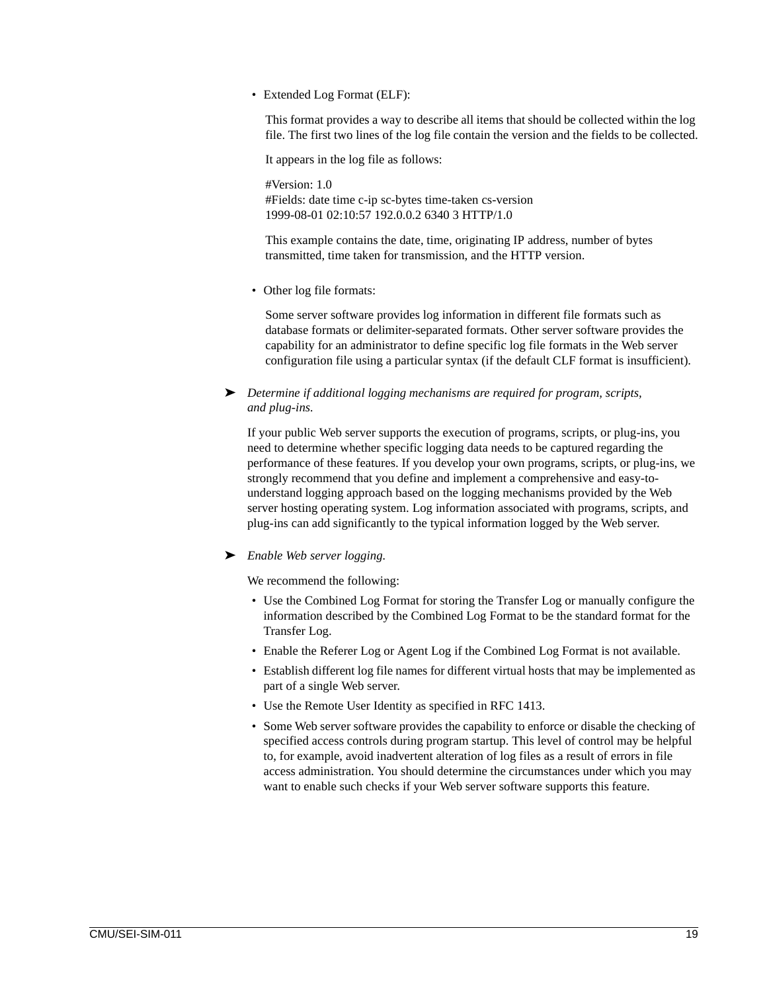• Extended Log Format (ELF):

This format provides a way to describe all items that should be collected within the log file. The first two lines of the log file contain the version and the fields to be collected.

It appears in the log file as follows:

#Version: 1.0 #Fields: date time c-ip sc-bytes time-taken cs-version 1999-08-01 02:10:57 192.0.0.2 6340 3 HTTP/1.0

This example contains the date, time, originating IP address, number of bytes transmitted, time taken for transmission, and the HTTP version.

• Other log file formats:

Some server software provides log information in different file formats such as database formats or delimiter-separated formats. Other server software provides the capability for an administrator to define specific log file formats in the Web server configuration file using a particular syntax (if the default CLF format is insufficient).

➤ *Determine if additional logging mechanisms are required for program, scripts, and plug-ins.*

If your public Web server supports the execution of programs, scripts, or plug-ins, you need to determine whether specific logging data needs to be captured regarding the performance of these features. If you develop your own programs, scripts, or plug-ins, we strongly recommend that you define and implement a comprehensive and easy-tounderstand logging approach based on the logging mechanisms provided by the Web server hosting operating system. Log information associated with programs, scripts, and plug-ins can add significantly to the typical information logged by the Web server.

➤ *Enable Web server logging.*

We recommend the following:

- Use the Combined Log Format for storing the Transfer Log or manually configure the information described by the Combined Log Format to be the standard format for the Transfer Log.
- Enable the Referer Log or Agent Log if the Combined Log Format is not available.
- Establish different log file names for different virtual hosts that may be implemented as part of a single Web server.
- Use the Remote User Identity as specified in RFC 1413.
- Some Web server software provides the capability to enforce or disable the checking of specified access controls during program startup. This level of control may be helpful to, for example, avoid inadvertent alteration of log files as a result of errors in file access administration. You should determine the circumstances under which you may want to enable such checks if your Web server software supports this feature.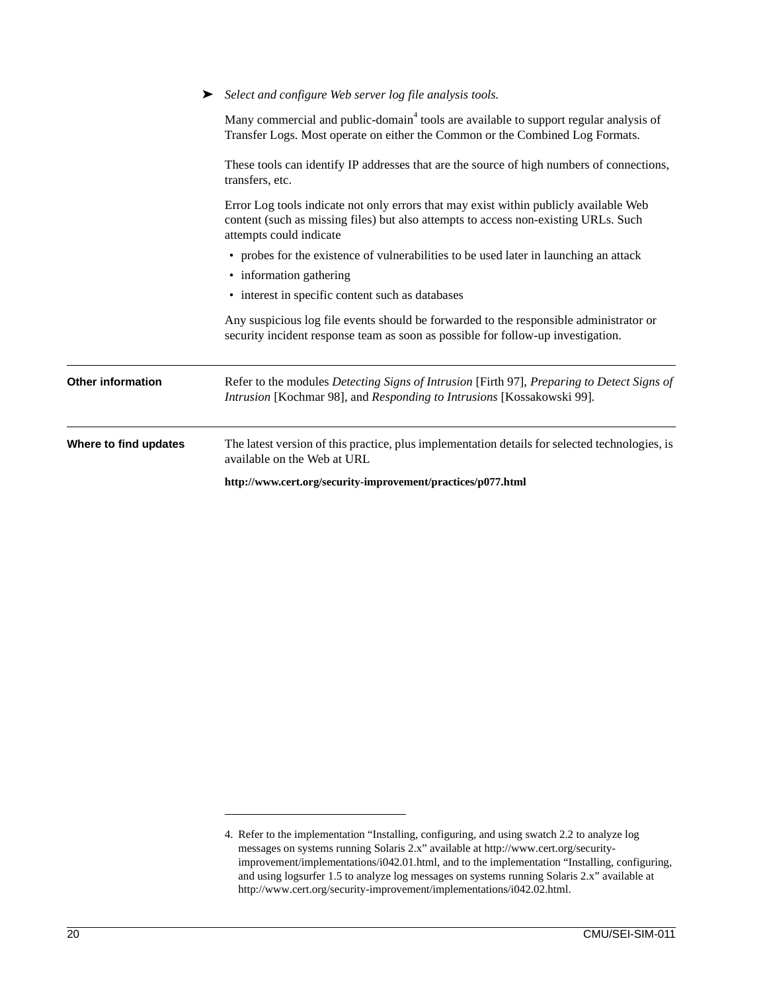|                          | http://www.cert.org/security-improvement/practices/p077.html                                                                                                                                            |  |  |
|--------------------------|---------------------------------------------------------------------------------------------------------------------------------------------------------------------------------------------------------|--|--|
| Where to find updates    | The latest version of this practice, plus implementation details for selected technologies, is<br>available on the Web at URL                                                                           |  |  |
| <b>Other information</b> | Refer to the modules Detecting Signs of Intrusion [Firth 97], Preparing to Detect Signs of<br>Intrusion [Kochmar 98], and Responding to Intrusions [Kossakowski 99].                                    |  |  |
|                          | Any suspicious log file events should be forwarded to the responsible administrator or<br>security incident response team as soon as possible for follow-up investigation.                              |  |  |
|                          | • interest in specific content such as databases                                                                                                                                                        |  |  |
|                          | • information gathering                                                                                                                                                                                 |  |  |
|                          | • probes for the existence of vulnerabilities to be used later in launching an attack                                                                                                                   |  |  |
|                          | Error Log tools indicate not only errors that may exist within publicly available Web<br>content (such as missing files) but also attempts to access non-existing URLs. Such<br>attempts could indicate |  |  |
|                          | These tools can identify IP addresses that are the source of high numbers of connections,<br>transfers, etc.                                                                                            |  |  |
|                          | Many commercial and public-domain <sup>4</sup> tools are available to support regular analysis of<br>Transfer Logs. Most operate on either the Common or the Combined Log Formats.                      |  |  |
|                          | Select and configure Web server log file analysis tools.                                                                                                                                                |  |  |

<sup>4.</sup> Refer to the implementation "Installing, configuring, and using swatch 2.2 to analyze log messages on systems running Solaris 2.x" available at http://www.cert.org/securityimprovement/implementations/i042.01.html, and to the implementation "Installing, configuring, and using logsurfer 1.5 to analyze log messages on systems running Solaris 2.x" available at http://www.cert.org/security-improvement/implementations/i042.02.html.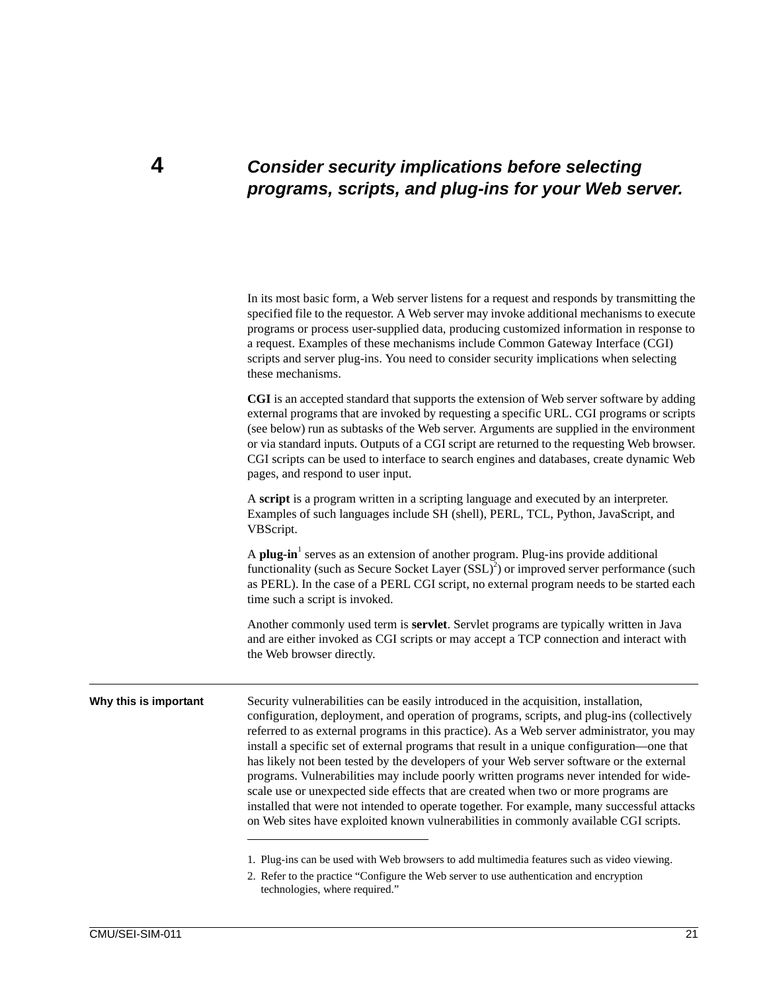### **4** *Consider security implications before selecting programs, scripts, and plug-ins for your Web server.*

| In its most basic form, a Web server listens for a request and responds by transmitting the |
|---------------------------------------------------------------------------------------------|
| specified file to the requestor. A Web server may invoke additional mechanisms to execute   |
| programs or process user-supplied data, producing customized information in response to     |
| a request. Examples of these mechanisms include Common Gateway Interface (CGI)              |
| scripts and server plug-ins. You need to consider security implications when selecting      |
| these mechanisms.                                                                           |

**CGI** is an accepted standard that supports the extension of Web server software by adding external programs that are invoked by requesting a specific URL. CGI programs or scripts (see below) run as subtasks of the Web server. Arguments are supplied in the environment or via standard inputs. Outputs of a CGI script are returned to the requesting Web browser. CGI scripts can be used to interface to search engines and databases, create dynamic Web pages, and respond to user input.

A **script** is a program written in a scripting language and executed by an interpreter. Examples of such languages include SH (shell), PERL, TCL, Python, JavaScript, and VBScript.

A **plug-in**<sup>1</sup> serves as an extension of another program. Plug-ins provide additional functionality (such as Secure Socket Layer  $(SSL)^2$ ) or improved server performance (such as PERL). In the case of a PERL CGI script, no external program needs to be started each time such a script is invoked.

Another commonly used term is **servlet**. Servlet programs are typically written in Java and are either invoked as CGI scripts or may accept a TCP connection and interact with the Web browser directly.

**Why this is important** Security vulnerabilities can be easily introduced in the acquisition, installation, configuration, deployment, and operation of programs, scripts, and plug-ins (collectively referred to as external programs in this practice). As a Web server administrator, you may install a specific set of external programs that result in a unique configuration—one that has likely not been tested by the developers of your Web server software or the external programs. Vulnerabilities may include poorly written programs never intended for widescale use or unexpected side effects that are created when two or more programs are installed that were not intended to operate together. For example, many successful attacks on Web sites have exploited known vulnerabilities in commonly available CGI scripts.

1. Plug-ins can be used with Web browsers to add multimedia features such as video viewing.

2. Refer to the practice "Configure the Web server to use authentication and encryption technologies, where required."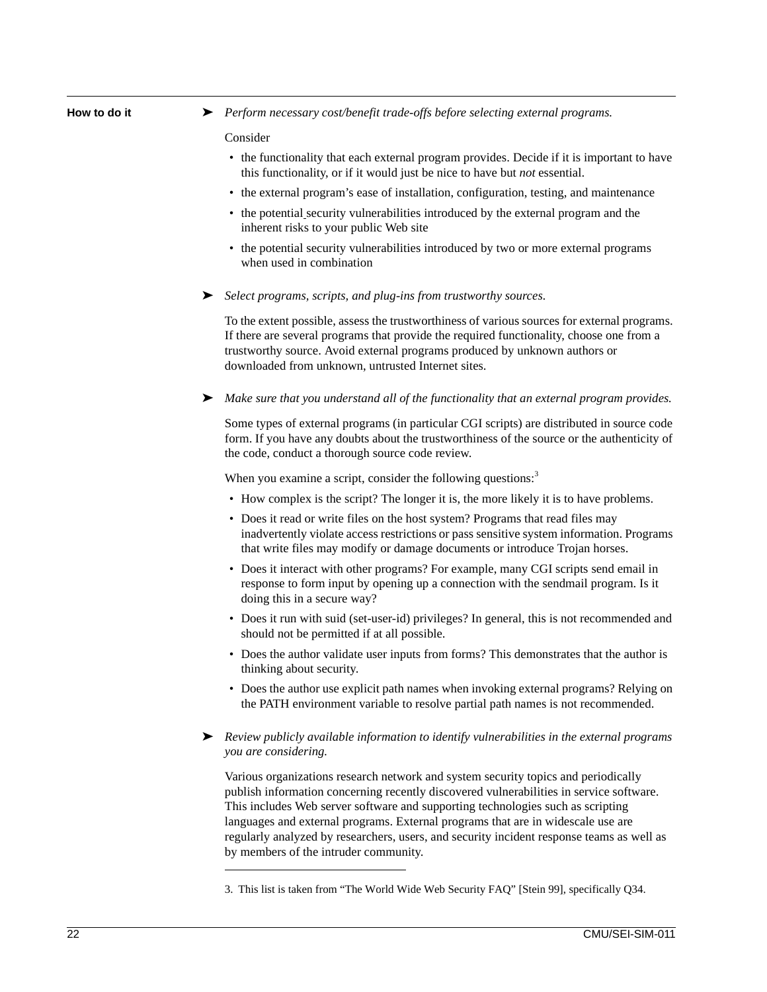| How to do it |  |  |  |  |
|--------------|--|--|--|--|
|--------------|--|--|--|--|

► *Perform necessary cost/benefit trade-offs before selecting external programs.* 

#### Consider

- the functionality that each external program provides. Decide if it is important to have this functionality, or if it would just be nice to have but *not* essential.
- the external program's ease of installation, configuration, testing, and maintenance
- the potential security vulnerabilities introduced by the external program and the inherent risks to your public Web site
- the potential security vulnerabilities introduced by two or more external programs when used in combination
- ➤ *Select programs, scripts, and plug-ins from trustworthy sources.*

To the extent possible, assess the trustworthiness of various sources for external programs. If there are several programs that provide the required functionality, choose one from a trustworthy source. Avoid external programs produced by unknown authors or downloaded from unknown, untrusted Internet sites.

➤ *Make sure that you understand all of the functionality that an external program provides.*

Some types of external programs (in particular CGI scripts) are distributed in source code form. If you have any doubts about the trustworthiness of the source or the authenticity of the code, conduct a thorough source code review.

When you examine a script, consider the following questions:<sup>3</sup>

- How complex is the script? The longer it is, the more likely it is to have problems.
- Does it read or write files on the host system? Programs that read files may inadvertently violate access restrictions or pass sensitive system information. Programs that write files may modify or damage documents or introduce Trojan horses.
- Does it interact with other programs? For example, many CGI scripts send email in response to form input by opening up a connection with the sendmail program. Is it doing this in a secure way?
- Does it run with suid (set-user-id) privileges? In general, this is not recommended and should not be permitted if at all possible.
- Does the author validate user inputs from forms? This demonstrates that the author is thinking about security.
- Does the author use explicit path names when invoking external programs? Relying on the PATH environment variable to resolve partial path names is not recommended.
- ➤ *Review publicly available information to identify vulnerabilities in the external programs you are considering.*

Various organizations research network and system security topics and periodically publish information concerning recently discovered vulnerabilities in service software. This includes Web server software and supporting technologies such as scripting languages and external programs. External programs that are in widescale use are regularly analyzed by researchers, users, and security incident response teams as well as by members of the intruder community.

<sup>3.</sup> This list is taken from "The World Wide Web Security FAQ" [Stein 99], specifically Q34.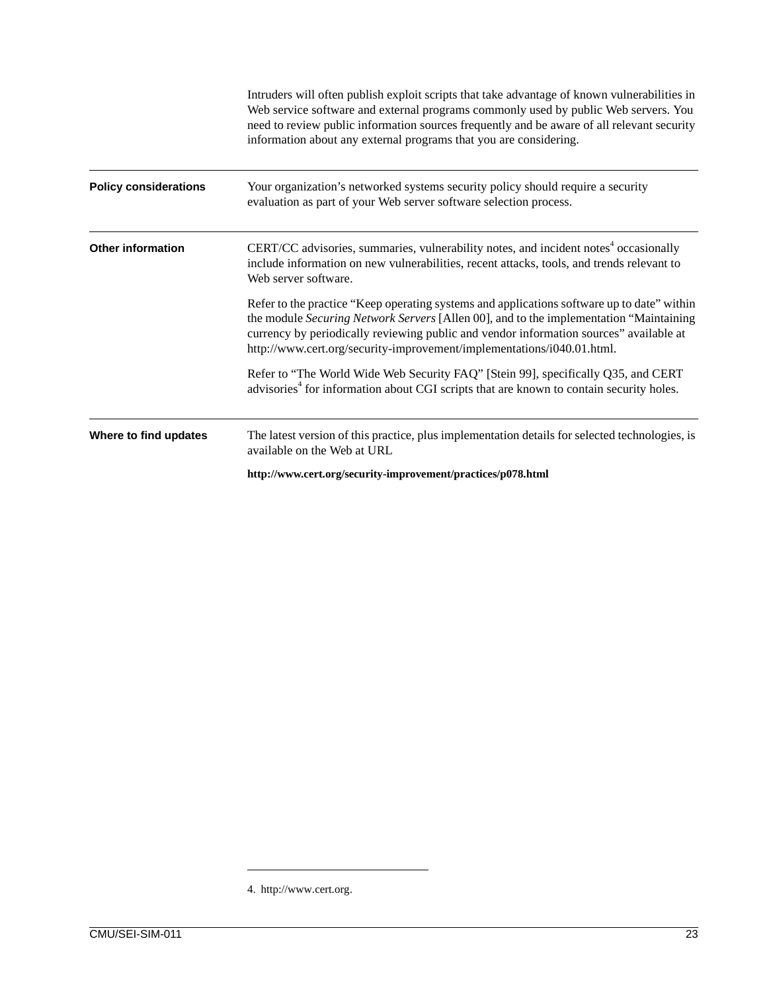|                              | Intruders will often publish exploit scripts that take advantage of known vulnerabilities in<br>Web service software and external programs commonly used by public Web servers. You<br>need to review public information sources frequently and be aware of all relevant security<br>information about any external programs that you are considering.   |  |  |
|------------------------------|----------------------------------------------------------------------------------------------------------------------------------------------------------------------------------------------------------------------------------------------------------------------------------------------------------------------------------------------------------|--|--|
| <b>Policy considerations</b> | Your organization's networked systems security policy should require a security<br>evaluation as part of your Web server software selection process.                                                                                                                                                                                                     |  |  |
| <b>Other information</b>     | CERT/CC advisories, summaries, vulnerability notes, and incident notes <sup>4</sup> occasionally<br>include information on new vulnerabilities, recent attacks, tools, and trends relevant to<br>Web server software.                                                                                                                                    |  |  |
|                              | Refer to the practice "Keep operating systems and applications software up to date" within<br>the module Securing Network Servers [Allen 00], and to the implementation "Maintaining<br>currency by periodically reviewing public and vendor information sources" available at<br>http://www.cert.org/security-improvement/implementations/i040.01.html. |  |  |
|                              | Refer to "The World Wide Web Security FAQ" [Stein 99], specifically Q35, and CERT<br>advisories <sup>4</sup> for information about CGI scripts that are known to contain security holes.                                                                                                                                                                 |  |  |
| Where to find updates        | The latest version of this practice, plus implementation details for selected technologies, is<br>available on the Web at URL                                                                                                                                                                                                                            |  |  |
|                              | http://www.cert.org/security-improvement/practices/p078.html                                                                                                                                                                                                                                                                                             |  |  |

<sup>4.</sup> http://www.cert.org.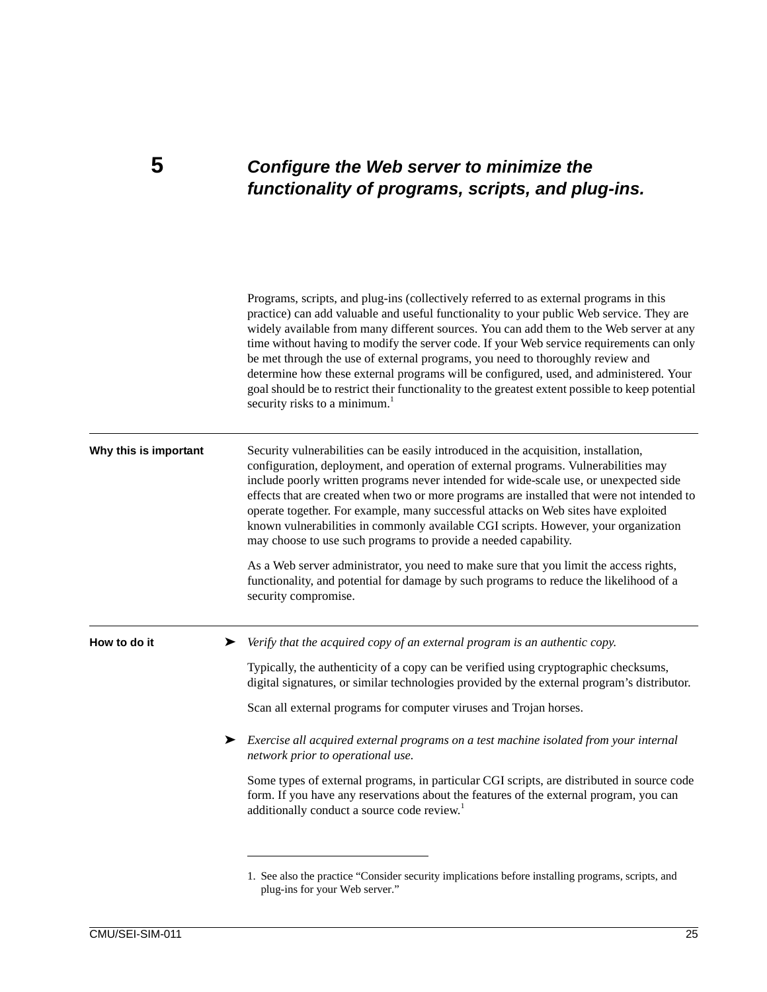### **5** *Configure the Web server to minimize the functionality of programs, scripts, and plug-ins.*

Programs, scripts, and plug-ins (collectively referred to as external programs in this practice) can add valuable and useful functionality to your public Web service. They are widely available from many different sources. You can add them to the Web server at any time without having to modify the server code. If your Web service requirements can only be met through the use of external programs, you need to thoroughly review and determine how these external programs will be configured, used, and administered. Your goal should be to restrict their functionality to the greatest extent possible to keep potential security risks to a minimum.<sup>1</sup> **Why this is important** Security vulnerabilities can be easily introduced in the acquisition, installation, configuration, deployment, and operation of external programs. Vulnerabilities may include poorly written programs never intended for wide-scale use, or unexpected side effects that are created when two or more programs are installed that were not intended to operate together. For example, many successful attacks on Web sites have exploited known vulnerabilities in commonly available CGI scripts. However, your organization may choose to use such programs to provide a needed capability. As a Web server administrator, you need to make sure that you limit the access rights, functionality, and potential for damage by such programs to reduce the likelihood of a security compromise. **How to do it** ► *Verify that the acquired copy of an external program is an authentic copy.* Typically, the authenticity of a copy can be verified using cryptographic checksums, digital signatures, or similar technologies provided by the external program's distributor. Scan all external programs for computer viruses and Trojan horses. ➤ *Exercise all acquired external programs on a test machine isolated from your internal network prior to operational use.* Some types of external programs, in particular CGI scripts, are distributed in source code form. If you have any reservations about the features of the external program, you can additionally conduct a source code review.<sup>1</sup>

<sup>1.</sup> See also the practice "Consider security implications before installing programs, scripts, and plug-ins for your Web server."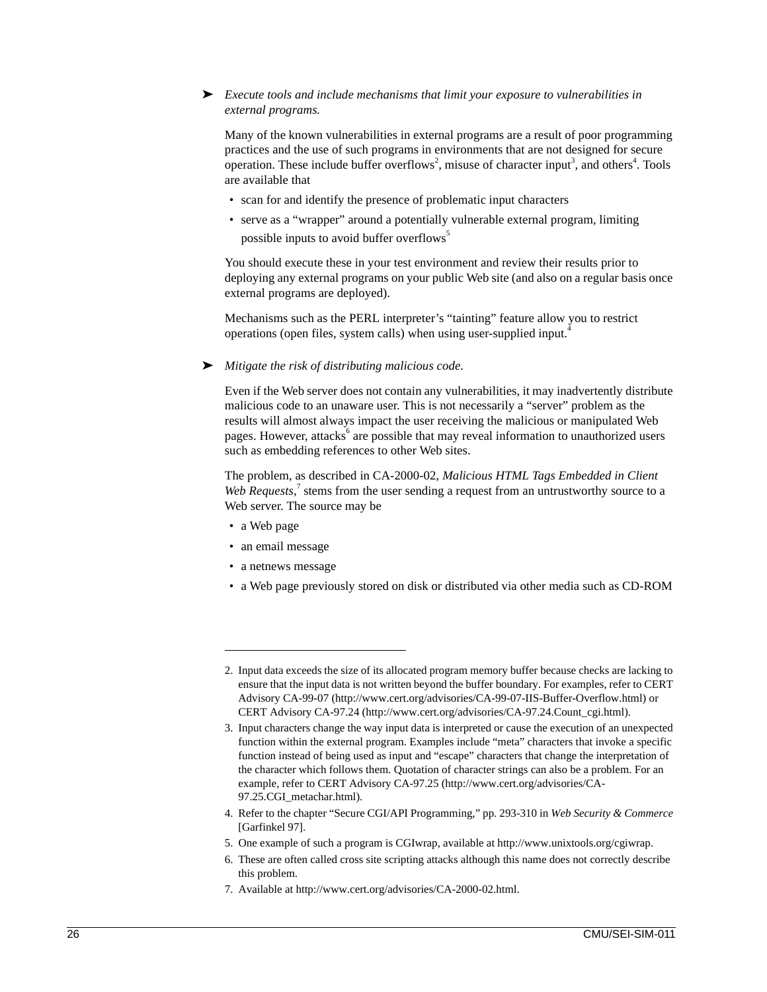### ➤ *Execute tools and include mechanisms that limit your exposure to vulnerabilities in external programs.*

Many of the known vulnerabilities in external programs are a result of poor programming practices and the use of such programs in environments that are not designed for secure operation. These include buffer overflows<sup>2</sup>, misuse of character input<sup>3</sup>, and others<sup>4</sup>. Tools are available that

- scan for and identify the presence of problematic input characters
- serve as a "wrapper" around a potentially vulnerable external program, limiting possible inputs to avoid buffer overflows<sup>5</sup>

You should execute these in your test environment and review their results prior to deploying any external programs on your public Web site (and also on a regular basis once external programs are deployed).

Mechanisms such as the PERL interpreter's "tainting" feature allow you to restrict operations (open files, system calls) when using user-supplied input.<sup>4</sup>

#### ➤ *Mitigate the risk of distributing malicious code.*

Even if the Web server does not contain any vulnerabilities, it may inadvertently distribute malicious code to an unaware user. This is not necessarily a "server" problem as the results will almost always impact the user receiving the malicious or manipulated Web pages. However, attacks<sup>6</sup> are possible that may reveal information to unauthorized users such as embedding references to other Web sites.

The problem, as described in CA-2000-02, *Malicious HTML Tags Embedded in Client*  Web Requests,<sup>7</sup> stems from the user sending a request from an untrustworthy source to a Web server. The source may be

- a Web page
- an email message
- a netnews message
- a Web page previously stored on disk or distributed via other media such as CD-ROM

- 5. One example of such a program is CGIwrap, available at http://www.unixtools.org/cgiwrap.
- 6. These are often called cross site scripting attacks although this name does not correctly describe this problem.
- 7. Available at http://www.cert.org/advisories/CA-2000-02.html.

<sup>2.</sup> Input data exceeds the size of its allocated program memory buffer because checks are lacking to ensure that the input data is not written beyond the buffer boundary. For examples, refer to CERT Advisory CA-99-07 (http://www.cert.org/advisories/CA-99-07-IIS-Buffer-Overflow.html) or CERT Advisory CA-97.24 (http://www.cert.org/advisories/CA-97.24.Count\_cgi.html).

<sup>3.</sup> Input characters change the way input data is interpreted or cause the execution of an unexpected function within the external program. Examples include "meta" characters that invoke a specific function instead of being used as input and "escape" characters that change the interpretation of the character which follows them. Quotation of character strings can also be a problem. For an example, refer to CERT Advisory CA-97.25 (http://www.cert.org/advisories/CA-97.25.CGI\_metachar.html).

<sup>4.</sup> Refer to the chapter "Secure CGI/API Programming," pp. 293-310 in *Web Security & Commerce* [Garfinkel 97].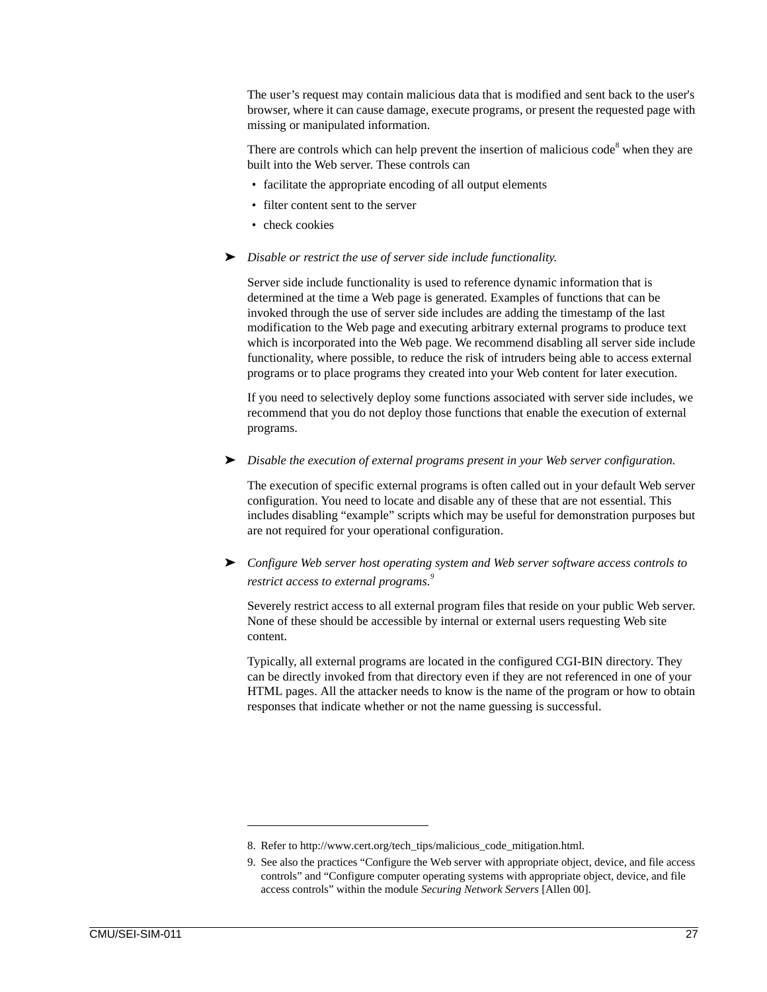The user's request may contain malicious data that is modified and sent back to the user's browser, where it can cause damage, execute programs, or present the requested page with missing or manipulated information.

There are controls which can help prevent the insertion of malicious code $8$  when they are built into the Web server. These controls can

- facilitate the appropriate encoding of all output elements
- filter content sent to the server
- check cookies
- ➤ *Disable or restrict the use of server side include functionality.*

Server side include functionality is used to reference dynamic information that is determined at the time a Web page is generated. Examples of functions that can be invoked through the use of server side includes are adding the timestamp of the last modification to the Web page and executing arbitrary external programs to produce text which is incorporated into the Web page. We recommend disabling all server side include functionality, where possible, to reduce the risk of intruders being able to access external programs or to place programs they created into your Web content for later execution.

If you need to selectively deploy some functions associated with server side includes, we recommend that you do not deploy those functions that enable the execution of external programs.

➤ *Disable the execution of external programs present in your Web server configuration.*

The execution of specific external programs is often called out in your default Web server configuration. You need to locate and disable any of these that are not essential. This includes disabling "example" scripts which may be useful for demonstration purposes but are not required for your operational configuration.

➤ *Configure Web server host operating system and Web server software access controls to restrict access to external programs.<sup>9</sup>*

Severely restrict access to all external program files that reside on your public Web server. None of these should be accessible by internal or external users requesting Web site content.

Typically, all external programs are located in the configured CGI-BIN directory. They can be directly invoked from that directory even if they are not referenced in one of your HTML pages. All the attacker needs to know is the name of the program or how to obtain responses that indicate whether or not the name guessing is successful.

<sup>8.</sup> Refer to http://www.cert.org/tech\_tips/malicious\_code\_mitigation.html.

<sup>9.</sup> See also the practices "Configure the Web server with appropriate object, device, and file access controls" and "Configure computer operating systems with appropriate object, device, and file access controls" within the module *Securing Network Servers* [Allen 00].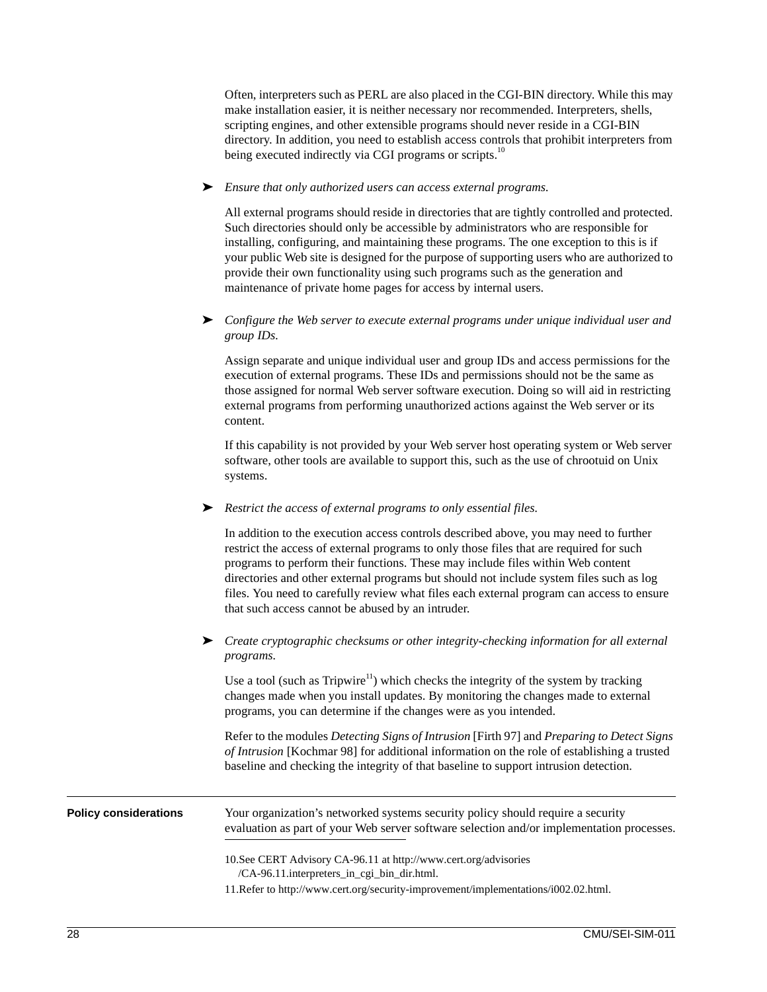Often, interpreters such as PERL are also placed in the CGI-BIN directory. While this may make installation easier, it is neither necessary nor recommended. Interpreters, shells, scripting engines, and other extensible programs should never reside in a CGI-BIN directory. In addition, you need to establish access controls that prohibit interpreters from being executed indirectly via CGI programs or scripts.<sup>10</sup>

➤ *Ensure that only authorized users can access external programs.*

All external programs should reside in directories that are tightly controlled and protected. Such directories should only be accessible by administrators who are responsible for installing, configuring, and maintaining these programs. The one exception to this is if your public Web site is designed for the purpose of supporting users who are authorized to provide their own functionality using such programs such as the generation and maintenance of private home pages for access by internal users.

➤ *Configure the Web server to execute external programs under unique individual user and group IDs.*

Assign separate and unique individual user and group IDs and access permissions for the execution of external programs. These IDs and permissions should not be the same as those assigned for normal Web server software execution. Doing so will aid in restricting external programs from performing unauthorized actions against the Web server or its content.

If this capability is not provided by your Web server host operating system or Web server software, other tools are available to support this, such as the use of chrootuid on Unix systems.

### ➤ *Restrict the access of external programs to only essential files.*

In addition to the execution access controls described above, you may need to further restrict the access of external programs to only those files that are required for such programs to perform their functions. These may include files within Web content directories and other external programs but should not include system files such as log files. You need to carefully review what files each external program can access to ensure that such access cannot be abused by an intruder.

### ➤ *Create cryptographic checksums or other integrity-checking information for all external programs.*

Use a tool (such as Tripwire<sup>11</sup>) which checks the integrity of the system by tracking changes made when you install updates. By monitoring the changes made to external programs, you can determine if the changes were as you intended.

Refer to the modules *Detecting Signs of Intrusion* [Firth 97] and *Preparing to Detect Signs of Intrusion* [Kochmar 98] for additional information on the role of establishing a trusted baseline and checking the integrity of that baseline to support intrusion detection.

| <b>Policy considerations</b> | Your organization's networked systems security policy should require a security<br>evaluation as part of your Web server software selection and/or implementation processes.                           |  |  |
|------------------------------|--------------------------------------------------------------------------------------------------------------------------------------------------------------------------------------------------------|--|--|
|                              | 10. See CERT Advisory CA-96.11 at http://www.cert.org/advisories<br>/CA-96.11.interpreters_in_cgi_bin_dir.html.<br>11. Refer to http://www.cert.org/security-improvement/implementations/i002.02.html. |  |  |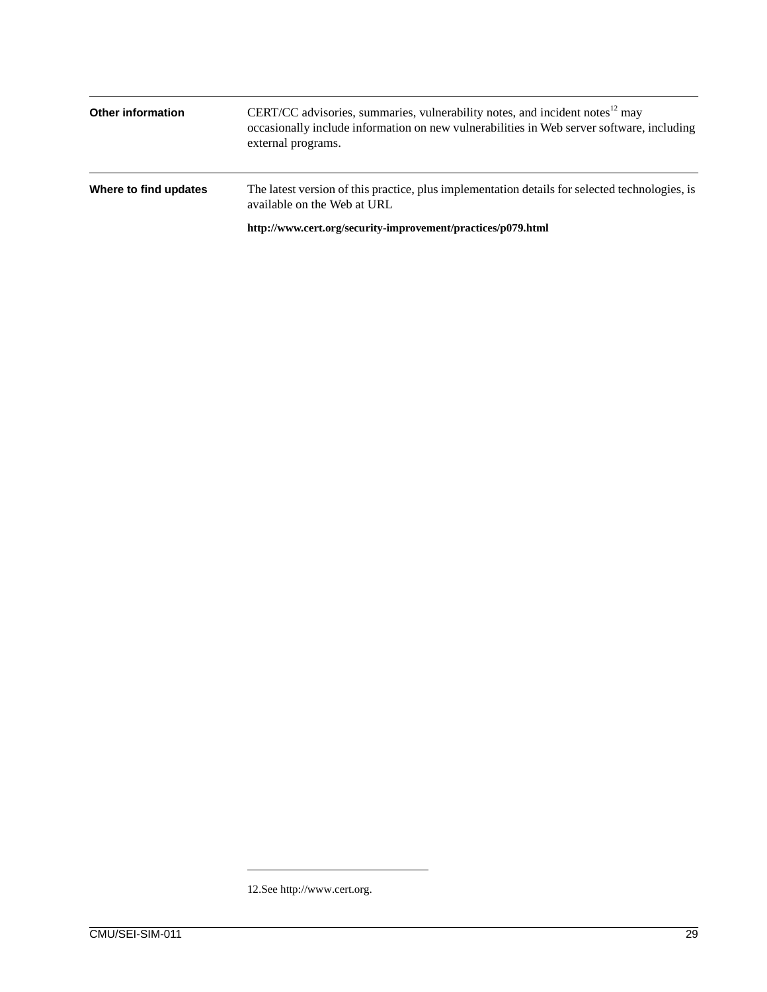| <b>Other information</b> | CERT/CC advisories, summaries, vulnerability notes, and incident notes <sup>12</sup> may<br>occasionally include information on new vulnerabilities in Web server software, including<br>external programs. |  |
|--------------------------|-------------------------------------------------------------------------------------------------------------------------------------------------------------------------------------------------------------|--|
| Where to find updates    | The latest version of this practice, plus implementation details for selected technologies, is<br>available on the Web at URL                                                                               |  |
|                          | http://www.cert.org/security-improvement/practices/p079.html                                                                                                                                                |  |

<sup>12.</sup>See http://www.cert.org.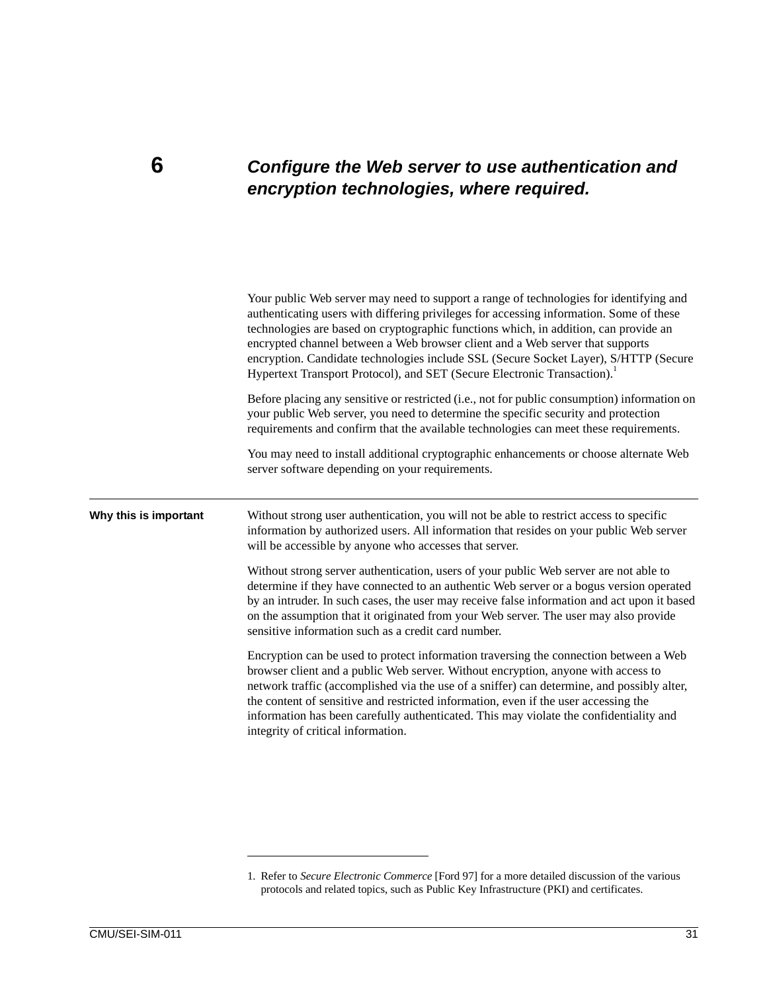### **6** *Configure the Web server to use authentication and encryption technologies, where required.*

|                       | Your public Web server may need to support a range of technologies for identifying and<br>authenticating users with differing privileges for accessing information. Some of these<br>technologies are based on cryptographic functions which, in addition, can provide an<br>encrypted channel between a Web browser client and a Web server that supports<br>encryption. Candidate technologies include SSL (Secure Socket Layer), S/HTTP (Secure<br>Hypertext Transport Protocol), and SET (Secure Electronic Transaction). |
|-----------------------|-------------------------------------------------------------------------------------------------------------------------------------------------------------------------------------------------------------------------------------------------------------------------------------------------------------------------------------------------------------------------------------------------------------------------------------------------------------------------------------------------------------------------------|
|                       | Before placing any sensitive or restricted (i.e., not for public consumption) information on<br>your public Web server, you need to determine the specific security and protection<br>requirements and confirm that the available technologies can meet these requirements.                                                                                                                                                                                                                                                   |
|                       | You may need to install additional cryptographic enhancements or choose alternate Web<br>server software depending on your requirements.                                                                                                                                                                                                                                                                                                                                                                                      |
| Why this is important | Without strong user authentication, you will not be able to restrict access to specific<br>information by authorized users. All information that resides on your public Web server<br>will be accessible by anyone who accesses that server.                                                                                                                                                                                                                                                                                  |
|                       | Without strong server authentication, users of your public Web server are not able to<br>determine if they have connected to an authentic Web server or a bogus version operated<br>by an intruder. In such cases, the user may receive false information and act upon it based<br>on the assumption that it originated from your Web server. The user may also provide<br>sensitive information such as a credit card number.                                                                                                |
|                       | Encryption can be used to protect information traversing the connection between a Web<br>browser client and a public Web server. Without encryption, anyone with access to<br>network traffic (accomplished via the use of a sniffer) can determine, and possibly alter,<br>the content of sensitive and restricted information, even if the user accessing the<br>information has been carefully authenticated. This may violate the confidentiality and<br>integrity of critical information.                               |
|                       |                                                                                                                                                                                                                                                                                                                                                                                                                                                                                                                               |

<sup>1.</sup> Refer to *Secure Electronic Commerce* [Ford 97] for a more detailed discussion of the various protocols and related topics, such as Public Key Infrastructure (PKI) and certificates.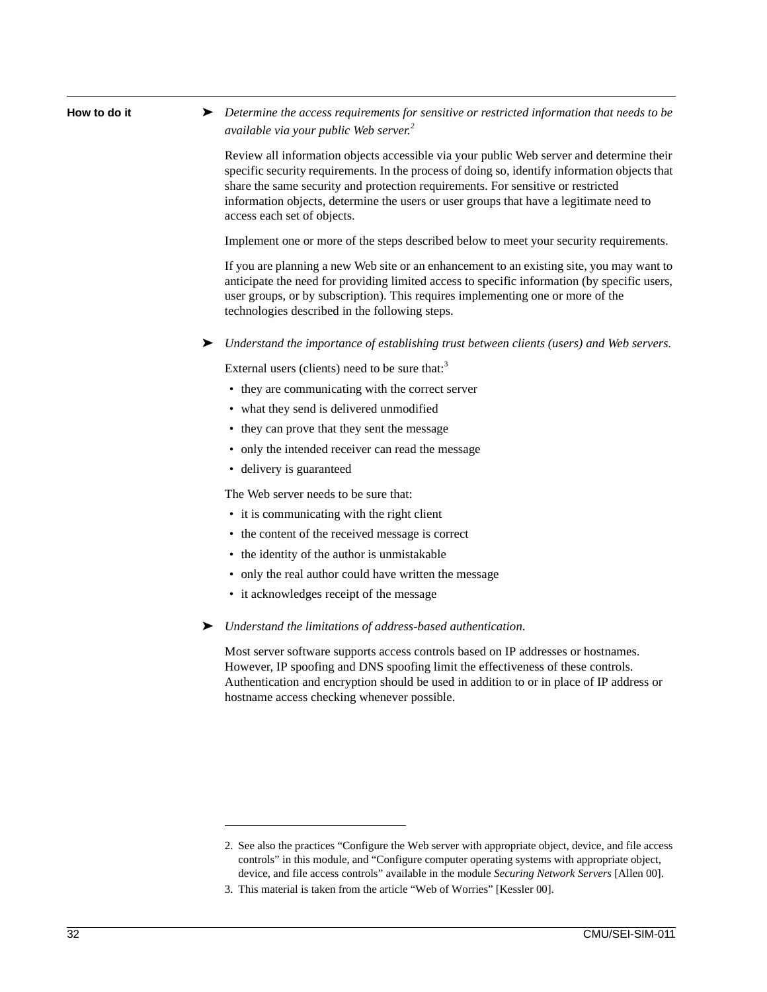| How to do it | Determine the access requirements for sensitive or restricted information that needs to be<br>available via your public Web server. <sup>2</sup>                                                                                                                                                                                                                                                       |
|--------------|--------------------------------------------------------------------------------------------------------------------------------------------------------------------------------------------------------------------------------------------------------------------------------------------------------------------------------------------------------------------------------------------------------|
|              | Review all information objects accessible via your public Web server and determine their<br>specific security requirements. In the process of doing so, identify information objects that<br>share the same security and protection requirements. For sensitive or restricted<br>information objects, determine the users or user groups that have a legitimate need to<br>access each set of objects. |
|              | Implement one or more of the steps described below to meet your security requirements.                                                                                                                                                                                                                                                                                                                 |
|              | If you are planning a new Web site or an enhancement to an existing site, you may want to<br>anticipate the need for providing limited access to specific information (by specific users,<br>user groups, or by subscription). This requires implementing one or more of the<br>technologies described in the following steps.                                                                         |
|              | Understand the importance of establishing trust between clients (users) and Web servers.<br>➤                                                                                                                                                                                                                                                                                                          |
|              | External users (clients) need to be sure that: <sup>3</sup>                                                                                                                                                                                                                                                                                                                                            |
|              | • they are communicating with the correct server                                                                                                                                                                                                                                                                                                                                                       |
|              | • what they send is delivered unmodified                                                                                                                                                                                                                                                                                                                                                               |
|              | • they can prove that they sent the message                                                                                                                                                                                                                                                                                                                                                            |
|              | • only the intended receiver can read the message                                                                                                                                                                                                                                                                                                                                                      |
|              | • delivery is guaranteed                                                                                                                                                                                                                                                                                                                                                                               |
|              | The Web server needs to be sure that:                                                                                                                                                                                                                                                                                                                                                                  |
|              | • it is communicating with the right client                                                                                                                                                                                                                                                                                                                                                            |
|              | • the content of the received message is correct                                                                                                                                                                                                                                                                                                                                                       |
|              | • the identity of the author is unmistakable                                                                                                                                                                                                                                                                                                                                                           |
|              | • only the real author could have written the message                                                                                                                                                                                                                                                                                                                                                  |
|              | • it acknowledges receipt of the message                                                                                                                                                                                                                                                                                                                                                               |
|              | Understand the limitations of address-based authentication.<br>➤                                                                                                                                                                                                                                                                                                                                       |
|              | Most server software supports access controls based on IP addresses or hostnames.<br>However, IP spoofing and DNS spoofing limit the effectiveness of these controls.<br>Authentication and encryption should be used in addition to or in place of IP address or<br>hostname access checking whenever possible.                                                                                       |
|              |                                                                                                                                                                                                                                                                                                                                                                                                        |
|              |                                                                                                                                                                                                                                                                                                                                                                                                        |
|              | 2. See also the practices "Configure the Web server with appropriate object, device, and file access<br>controls" in this module, and "Configure computer operating systems with appropriate object,<br>device, and file access controls" available in the module Securing Network Servers [Allen 00].                                                                                                 |

<sup>3.</sup> This material is taken from the article "Web of Worries" [Kessler 00].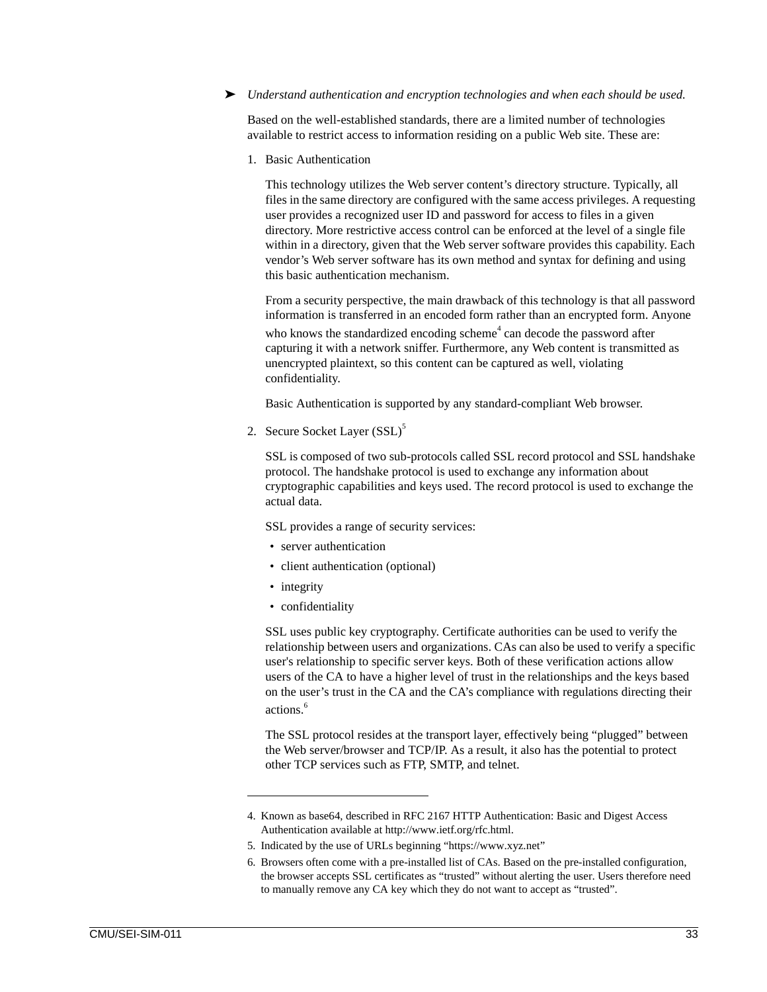#### ➤ *Understand authentication and encryption technologies and when each should be used.*

Based on the well-established standards, there are a limited number of technologies available to restrict access to information residing on a public Web site. These are:

1. Basic Authentication

This technology utilizes the Web server content's directory structure. Typically, all files in the same directory are configured with the same access privileges. A requesting user provides a recognized user ID and password for access to files in a given directory. More restrictive access control can be enforced at the level of a single file within in a directory, given that the Web server software provides this capability. Each vendor's Web server software has its own method and syntax for defining and using this basic authentication mechanism.

From a security perspective, the main drawback of this technology is that all password information is transferred in an encoded form rather than an encrypted form. Anyone who knows the standardized encoding scheme<sup>4</sup> can decode the password after capturing it with a network sniffer. Furthermore, any Web content is transmitted as unencrypted plaintext, so this content can be captured as well, violating confidentiality.

Basic Authentication is supported by any standard-compliant Web browser.

2. Secure Socket Layer (SSL)<sup>5</sup>

SSL is composed of two sub-protocols called SSL record protocol and SSL handshake protocol. The handshake protocol is used to exchange any information about cryptographic capabilities and keys used. The record protocol is used to exchange the actual data.

SSL provides a range of security services:

- server authentication
- client authentication (optional)
- integrity
- confidentiality

SSL uses public key cryptography. Certificate authorities can be used to verify the relationship between users and organizations. CAs can also be used to verify a specific user's relationship to specific server keys. Both of these verification actions allow users of the CA to have a higher level of trust in the relationships and the keys based on the user's trust in the CA and the CA's compliance with regulations directing their actions.<sup>6</sup>

The SSL protocol resides at the transport layer, effectively being "plugged" between the Web server/browser and TCP/IP. As a result, it also has the potential to protect other TCP services such as FTP, SMTP, and telnet.

<sup>4.</sup> Known as base64, described in RFC 2167 HTTP Authentication: Basic and Digest Access Authentication available at http://www.ietf.org/rfc.html.

<sup>5.</sup> Indicated by the use of URLs beginning "https://www.xyz.net"

<sup>6.</sup> Browsers often come with a pre-installed list of CAs. Based on the pre-installed configuration, the browser accepts SSL certificates as "trusted" without alerting the user. Users therefore need to manually remove any CA key which they do not want to accept as "trusted".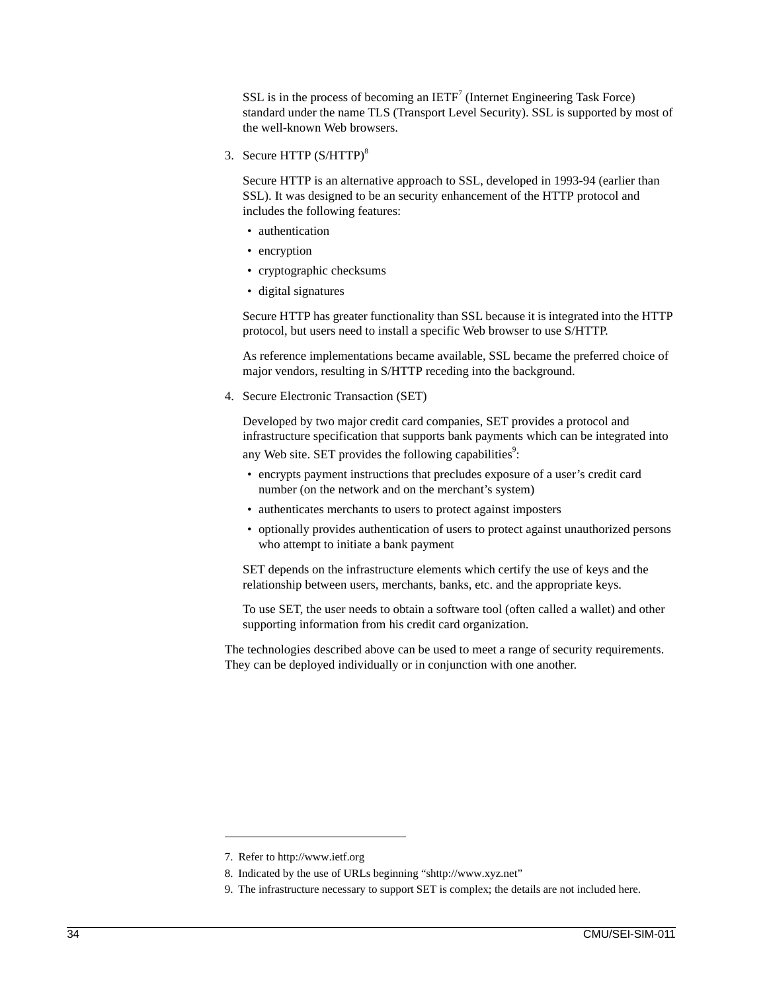SSL is in the process of becoming an  $IETF<sup>7</sup>$  (Internet Engineering Task Force) standard under the name TLS (Transport Level Security). SSL is supported by most of the well-known Web browsers.

3. Secure HTTP (S/HTTP)<sup>8</sup>

Secure HTTP is an alternative approach to SSL, developed in 1993-94 (earlier than SSL). It was designed to be an security enhancement of the HTTP protocol and includes the following features:

- authentication
- encryption
- cryptographic checksums
- digital signatures

Secure HTTP has greater functionality than SSL because it is integrated into the HTTP protocol, but users need to install a specific Web browser to use S/HTTP.

As reference implementations became available, SSL became the preferred choice of major vendors, resulting in S/HTTP receding into the background.

4. Secure Electronic Transaction (SET)

Developed by two major credit card companies, SET provides a protocol and infrastructure specification that supports bank payments which can be integrated into any Web site. SET provides the following capabilities<sup>9</sup>:

- encrypts payment instructions that precludes exposure of a user's credit card number (on the network and on the merchant's system)
- authenticates merchants to users to protect against imposters
- optionally provides authentication of users to protect against unauthorized persons who attempt to initiate a bank payment

SET depends on the infrastructure elements which certify the use of keys and the relationship between users, merchants, banks, etc. and the appropriate keys.

To use SET, the user needs to obtain a software tool (often called a wallet) and other supporting information from his credit card organization.

The technologies described above can be used to meet a range of security requirements. They can be deployed individually or in conjunction with one another.

<sup>7.</sup> Refer to http://www.ietf.org

<sup>8.</sup> Indicated by the use of URLs beginning "shttp://www.xyz.net"

<sup>9.</sup> The infrastructure necessary to support SET is complex; the details are not included here.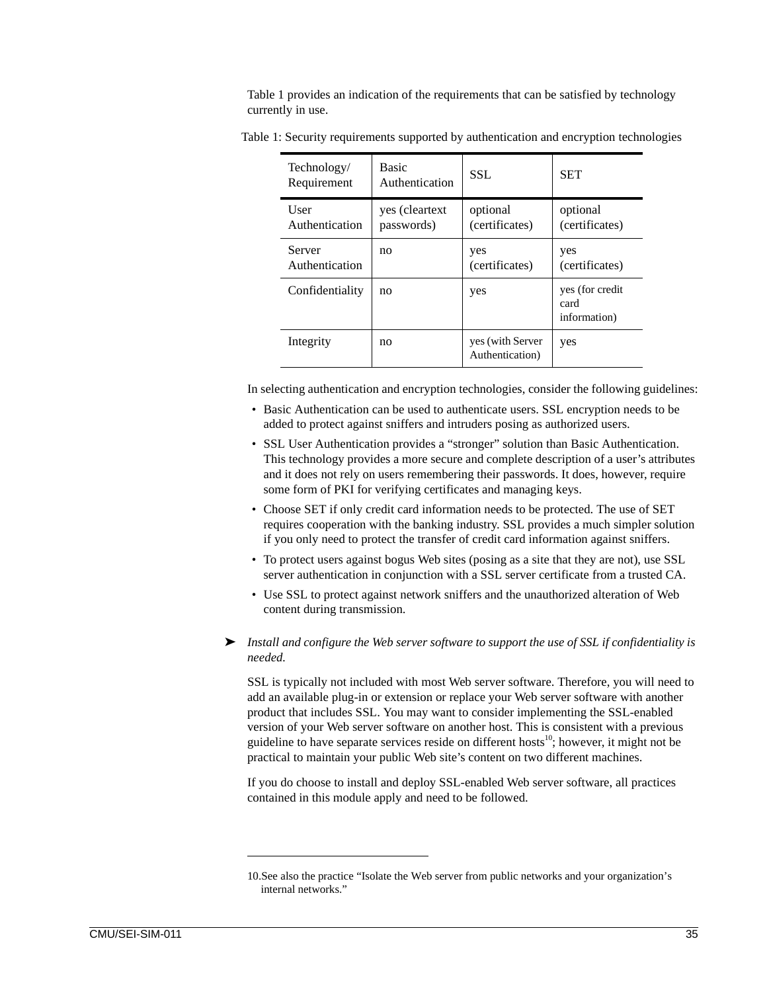Table 1 provides an indication of the requirements that can be satisfied by technology currently in use.

| Technology/<br>Requirement    | <b>Basic</b><br>Authentication | SSL.                                | <b>SET</b>                               |
|-------------------------------|--------------------------------|-------------------------------------|------------------------------------------|
| <b>User</b><br>Authentication | yes (cleartext)<br>passwords)  | optional<br>(certificates)          | optional<br>(certificates)               |
| Server<br>Authentication      | no                             | yes<br>(certificates)               | yes<br>(certificates)                    |
| Confidentiality               | no                             | yes                                 | yes (for credit)<br>card<br>information) |
| Integrity                     | no                             | yes (with Server<br>Authentication) | yes                                      |

Table 1: Security requirements supported by authentication and encryption technologies

In selecting authentication and encryption technologies, consider the following guidelines:

- Basic Authentication can be used to authenticate users. SSL encryption needs to be added to protect against sniffers and intruders posing as authorized users.
- SSL User Authentication provides a "stronger" solution than Basic Authentication. This technology provides a more secure and complete description of a user's attributes and it does not rely on users remembering their passwords. It does, however, require some form of PKI for verifying certificates and managing keys.
- Choose SET if only credit card information needs to be protected. The use of SET requires cooperation with the banking industry. SSL provides a much simpler solution if you only need to protect the transfer of credit card information against sniffers.
- To protect users against bogus Web sites (posing as a site that they are not), use SSL server authentication in conjunction with a SSL server certificate from a trusted CA.
- Use SSL to protect against network sniffers and the unauthorized alteration of Web content during transmission.
- ➤ *Install and configure the Web server software to support the use of SSL if confidentiality is needed.*

SSL is typically not included with most Web server software. Therefore, you will need to add an available plug-in or extension or replace your Web server software with another product that includes SSL. You may want to consider implementing the SSL-enabled version of your Web server software on another host. This is consistent with a previous guideline to have separate services reside on different hosts<sup>10</sup>; however, it might not be practical to maintain your public Web site's content on two different machines.

If you do choose to install and deploy SSL-enabled Web server software, all practices contained in this module apply and need to be followed.

<sup>10.</sup>See also the practice "Isolate the Web server from public networks and your organization's internal networks."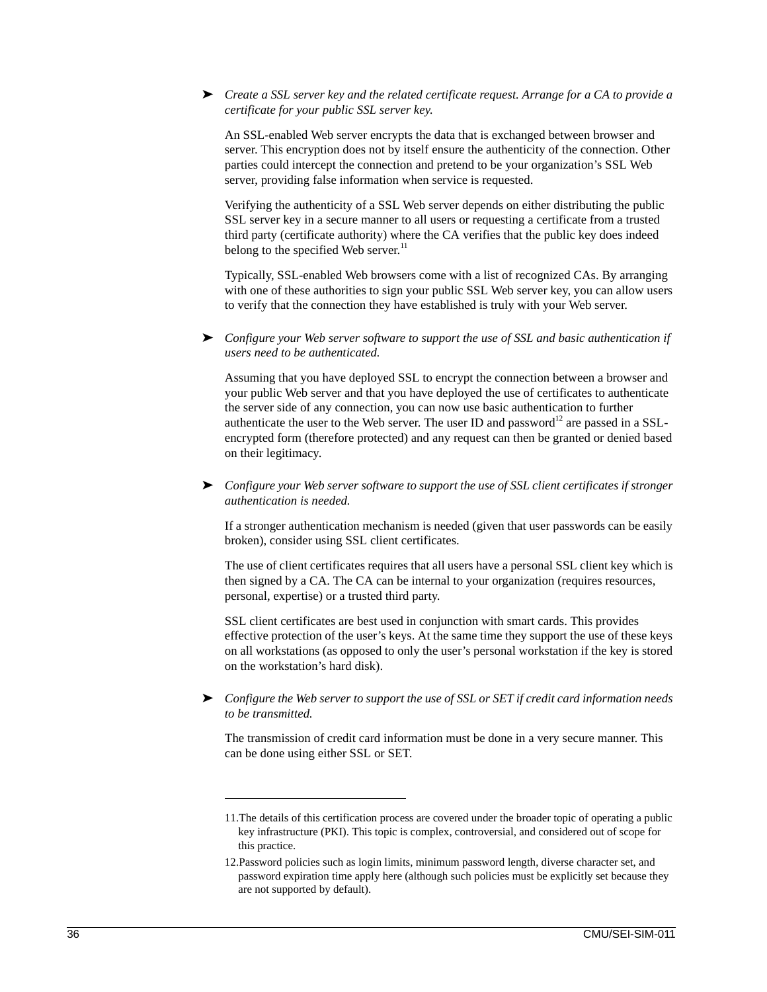### ➤ *Create a SSL server key and the related certificate request. Arrange for a CA to provide a certificate for your public SSL server key.*

An SSL-enabled Web server encrypts the data that is exchanged between browser and server. This encryption does not by itself ensure the authenticity of the connection. Other parties could intercept the connection and pretend to be your organization's SSL Web server, providing false information when service is requested.

Verifying the authenticity of a SSL Web server depends on either distributing the public SSL server key in a secure manner to all users or requesting a certificate from a trusted third party (certificate authority) where the CA verifies that the public key does indeed belong to the specified Web server. $^{11}$ 

Typically, SSL-enabled Web browsers come with a list of recognized CAs. By arranging with one of these authorities to sign your public SSL Web server key, you can allow users to verify that the connection they have established is truly with your Web server.

➤ *Configure your Web server software to support the use of SSL and basic authentication if users need to be authenticated.*

Assuming that you have deployed SSL to encrypt the connection between a browser and your public Web server and that you have deployed the use of certificates to authenticate the server side of any connection, you can now use basic authentication to further authenticate the user to the Web server. The user ID and password<sup>12</sup> are passed in a SSLencrypted form (therefore protected) and any request can then be granted or denied based on their legitimacy.

➤ *Configure your Web server software to support the use of SSL client certificates if stronger authentication is needed.*

If a stronger authentication mechanism is needed (given that user passwords can be easily broken), consider using SSL client certificates.

The use of client certificates requires that all users have a personal SSL client key which is then signed by a CA. The CA can be internal to your organization (requires resources, personal, expertise) or a trusted third party.

SSL client certificates are best used in conjunction with smart cards. This provides effective protection of the user's keys. At the same time they support the use of these keys on all workstations (as opposed to only the user's personal workstation if the key is stored on the workstation's hard disk).

➤ *Configure the Web server to support the use of SSL or SET if credit card information needs to be transmitted.*

The transmission of credit card information must be done in a very secure manner. This can be done using either SSL or SET.

<sup>11.</sup>The details of this certification process are covered under the broader topic of operating a public key infrastructure (PKI). This topic is complex, controversial, and considered out of scope for this practice.

<sup>12.</sup>Password policies such as login limits, minimum password length, diverse character set, and password expiration time apply here (although such policies must be explicitly set because they are not supported by default).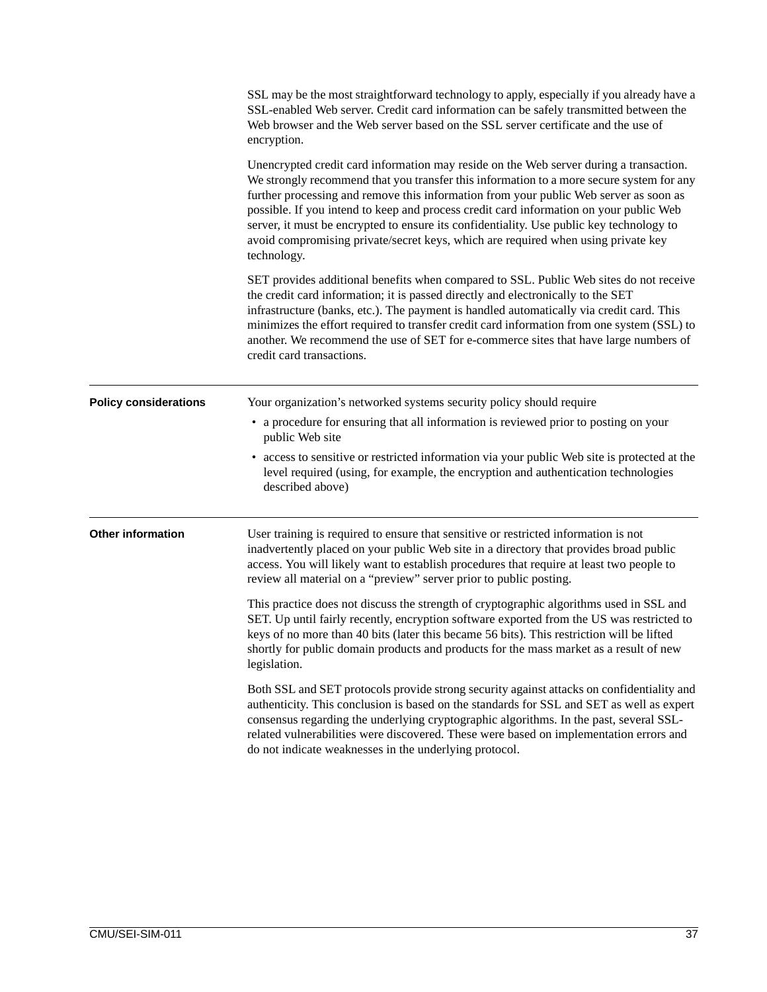|                              | SSL may be the most straightforward technology to apply, especially if you already have a<br>SSL-enabled Web server. Credit card information can be safely transmitted between the<br>Web browser and the Web server based on the SSL server certificate and the use of<br>encryption.                                                                                                                                                                                                                                                                                |
|------------------------------|-----------------------------------------------------------------------------------------------------------------------------------------------------------------------------------------------------------------------------------------------------------------------------------------------------------------------------------------------------------------------------------------------------------------------------------------------------------------------------------------------------------------------------------------------------------------------|
|                              | Unencrypted credit card information may reside on the Web server during a transaction.<br>We strongly recommend that you transfer this information to a more secure system for any<br>further processing and remove this information from your public Web server as soon as<br>possible. If you intend to keep and process credit card information on your public Web<br>server, it must be encrypted to ensure its confidentiality. Use public key technology to<br>avoid compromising private/secret keys, which are required when using private key<br>technology. |
|                              | SET provides additional benefits when compared to SSL. Public Web sites do not receive<br>the credit card information; it is passed directly and electronically to the SET<br>infrastructure (banks, etc.). The payment is handled automatically via credit card. This<br>minimizes the effort required to transfer credit card information from one system (SSL) to<br>another. We recommend the use of SET for e-commerce sites that have large numbers of<br>credit card transactions.                                                                             |
| <b>Policy considerations</b> | Your organization's networked systems security policy should require                                                                                                                                                                                                                                                                                                                                                                                                                                                                                                  |
|                              | • a procedure for ensuring that all information is reviewed prior to posting on your<br>public Web site                                                                                                                                                                                                                                                                                                                                                                                                                                                               |
|                              | • access to sensitive or restricted information via your public Web site is protected at the<br>level required (using, for example, the encryption and authentication technologies<br>described above)                                                                                                                                                                                                                                                                                                                                                                |
| <b>Other information</b>     | User training is required to ensure that sensitive or restricted information is not<br>inadvertently placed on your public Web site in a directory that provides broad public<br>access. You will likely want to establish procedures that require at least two people to<br>review all material on a "preview" server prior to public posting.                                                                                                                                                                                                                       |
|                              | This practice does not discuss the strength of cryptographic algorithms used in SSL and<br>SET. Up until fairly recently, encryption software exported from the US was restricted to<br>keys of no more than 40 bits (later this became 56 bits). This restriction will be lifted<br>shortly for public domain products and products for the mass market as a result of new<br>legislation.                                                                                                                                                                           |
|                              | Both SSL and SET protocols provide strong security against attacks on confidentiality and<br>authenticity. This conclusion is based on the standards for SSL and SET as well as expert<br>consensus regarding the underlying cryptographic algorithms. In the past, several SSL-<br>related vulnerabilities were discovered. These were based on implementation errors and<br>do not indicate weaknesses in the underlying protocol.                                                                                                                                  |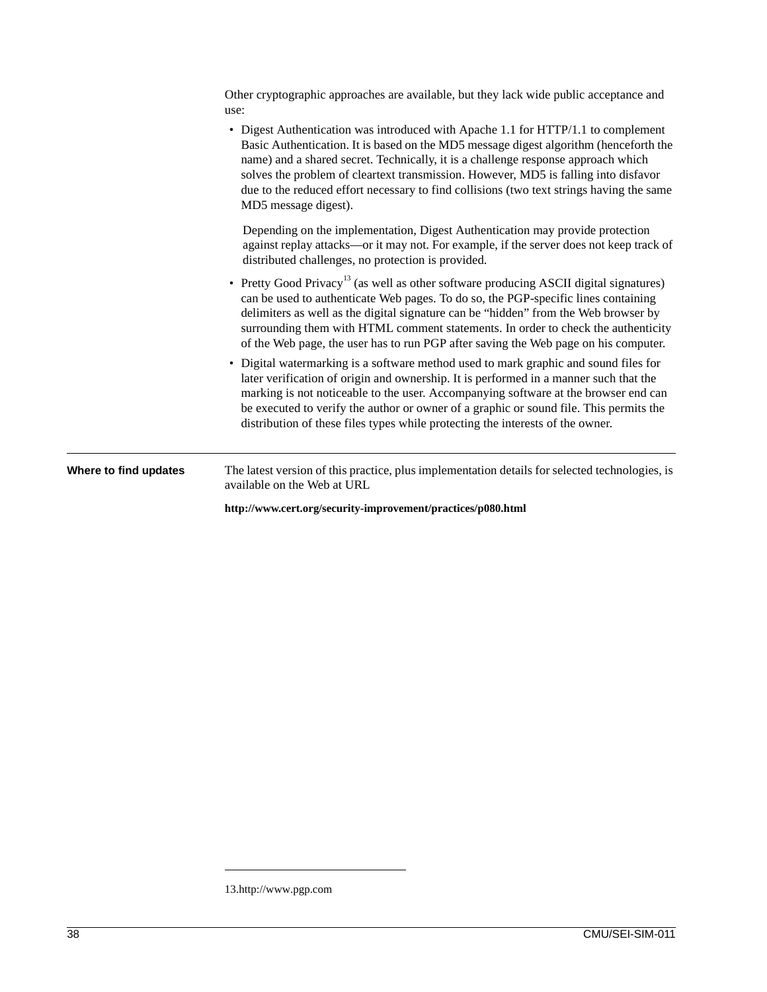|                       | Other cryptographic approaches are available, but they lack wide public acceptance and<br>use:                                                                                                                                                                                                                                                                                                                                                                             |
|-----------------------|----------------------------------------------------------------------------------------------------------------------------------------------------------------------------------------------------------------------------------------------------------------------------------------------------------------------------------------------------------------------------------------------------------------------------------------------------------------------------|
|                       | • Digest Authentication was introduced with Apache 1.1 for HTTP/1.1 to complement<br>Basic Authentication. It is based on the MD5 message digest algorithm (henceforth the<br>name) and a shared secret. Technically, it is a challenge response approach which<br>solves the problem of cleartext transmission. However, MD5 is falling into disfavor<br>due to the reduced effort necessary to find collisions (two text strings having the same<br>MD5 message digest). |
|                       | Depending on the implementation, Digest Authentication may provide protection<br>against replay attacks-or it may not. For example, if the server does not keep track of<br>distributed challenges, no protection is provided.                                                                                                                                                                                                                                             |
|                       | • Pretty Good Privacy <sup>13</sup> (as well as other software producing ASCII digital signatures)<br>can be used to authenticate Web pages. To do so, the PGP-specific lines containing<br>delimiters as well as the digital signature can be "hidden" from the Web browser by<br>surrounding them with HTML comment statements. In order to check the authenticity<br>of the Web page, the user has to run PGP after saving the Web page on his computer.                |
|                       | • Digital watermarking is a software method used to mark graphic and sound files for<br>later verification of origin and ownership. It is performed in a manner such that the<br>marking is not noticeable to the user. Accompanying software at the browser end can<br>be executed to verify the author or owner of a graphic or sound file. This permits the<br>distribution of these files types while protecting the interests of the owner.                           |
| Where to find updates | The latest version of this practice, plus implementation details for selected technologies, is<br>available on the Web at URL                                                                                                                                                                                                                                                                                                                                              |
|                       | http://www.cert.org/security-improvement/practices/p080.html                                                                                                                                                                                                                                                                                                                                                                                                               |

<sup>13.</sup>http://www.pgp.com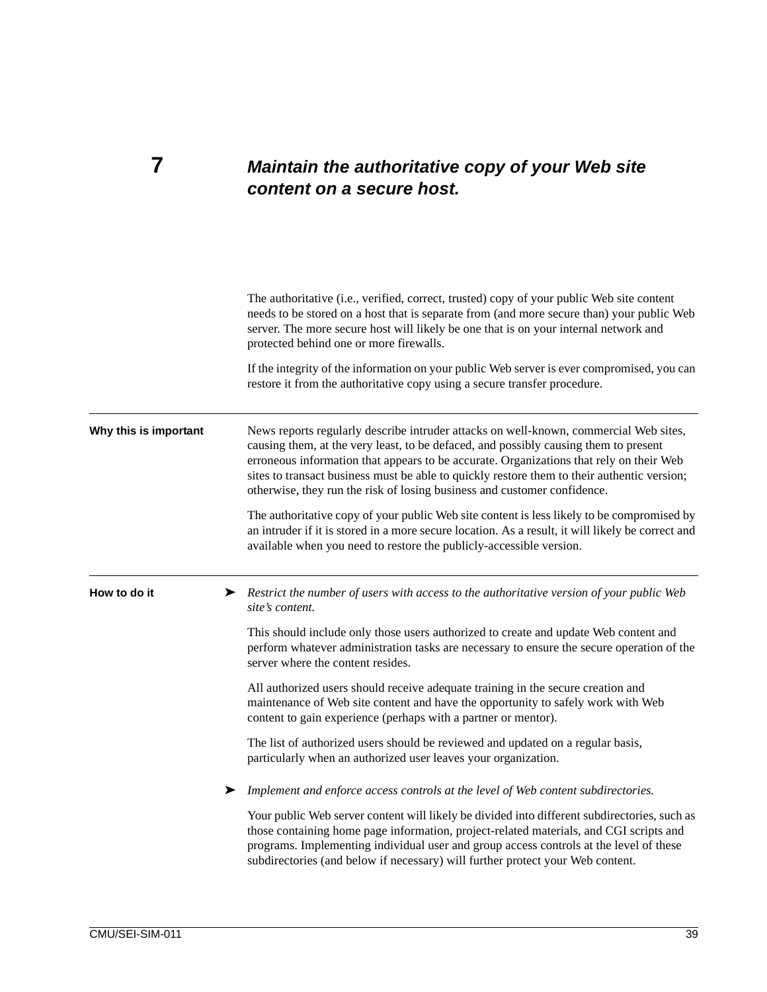### **7** *Maintain the authoritative copy of your Web site content on a secure host.*

The authoritative (i.e., verified, correct, trusted) copy of your public Web site content needs to be stored on a host that is separate from (and more secure than) your public Web server. The more secure host will likely be one that is on your internal network and protected behind one or more firewalls. If the integrity of the information on your public Web server is ever compromised, you can restore it from the authoritative copy using a secure transfer procedure. **Why this is important** News reports regularly describe intruder attacks on well-known, commercial Web sites, causing them, at the very least, to be defaced, and possibly causing them to present erroneous information that appears to be accurate. Organizations that rely on their Web sites to transact business must be able to quickly restore them to their authentic version; otherwise, they run the risk of losing business and customer confidence. The authoritative copy of your public Web site content is less likely to be compromised by an intruder if it is stored in a more secure location. As a result, it will likely be correct and available when you need to restore the publicly-accessible version. **How to do it** ► *Restrict the number of users with access to the authoritative version of your public Web site's content.* This should include only those users authorized to create and update Web content and perform whatever administration tasks are necessary to ensure the secure operation of the server where the content resides. All authorized users should receive adequate training in the secure creation and maintenance of Web site content and have the opportunity to safely work with Web content to gain experience (perhaps with a partner or mentor). The list of authorized users should be reviewed and updated on a regular basis, particularly when an authorized user leaves your organization. ➤ *Implement and enforce access controls at the level of Web content subdirectories.* Your public Web server content will likely be divided into different subdirectories, such as those containing home page information, project-related materials, and CGI scripts and programs. Implementing individual user and group access controls at the level of these subdirectories (and below if necessary) will further protect your Web content.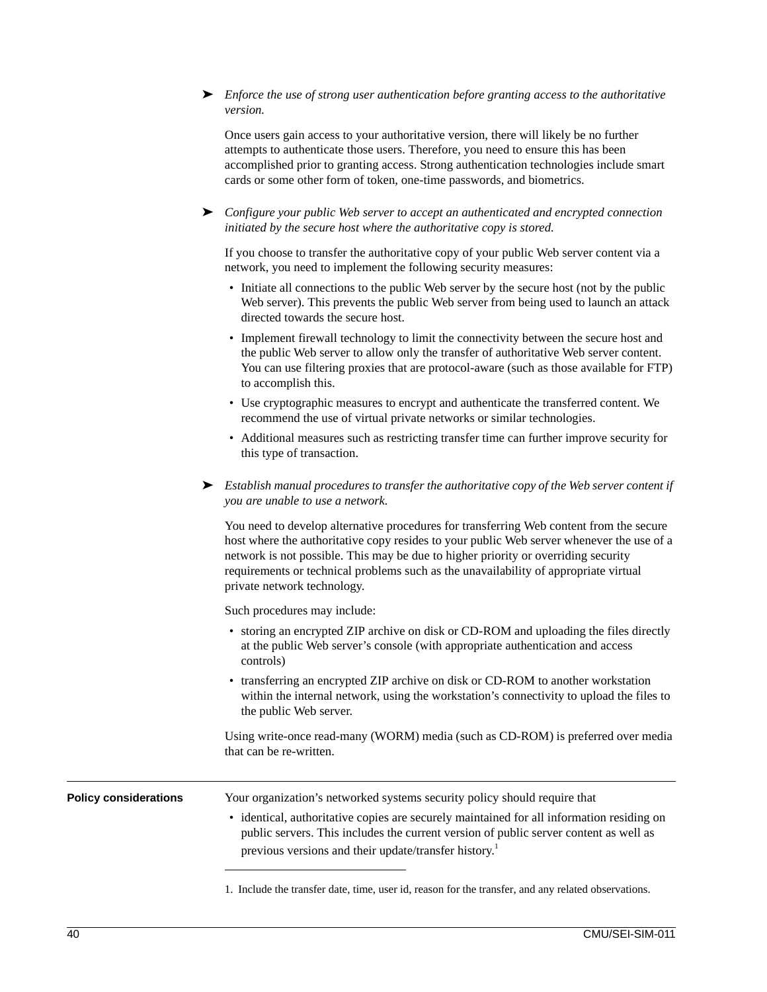➤ *Enforce the use of strong user authentication before granting access to the authoritative version.*

Once users gain access to your authoritative version, there will likely be no further attempts to authenticate those users. Therefore, you need to ensure this has been accomplished prior to granting access. Strong authentication technologies include smart cards or some other form of token, one-time passwords, and biometrics.

➤ *Configure your public Web server to accept an authenticated and encrypted connection initiated by the secure host where the authoritative copy is stored.*

If you choose to transfer the authoritative copy of your public Web server content via a network, you need to implement the following security measures:

- Initiate all connections to the public Web server by the secure host (not by the public Web server). This prevents the public Web server from being used to launch an attack directed towards the secure host.
- Implement firewall technology to limit the connectivity between the secure host and the public Web server to allow only the transfer of authoritative Web server content. You can use filtering proxies that are protocol-aware (such as those available for FTP) to accomplish this.
- Use cryptographic measures to encrypt and authenticate the transferred content. We recommend the use of virtual private networks or similar technologies.
- Additional measures such as restricting transfer time can further improve security for this type of transaction.
- ➤ *Establish manual procedures to transfer the authoritative copy of the Web server content if you are unable to use a network.*

You need to develop alternative procedures for transferring Web content from the secure host where the authoritative copy resides to your public Web server whenever the use of a network is not possible. This may be due to higher priority or overriding security requirements or technical problems such as the unavailability of appropriate virtual private network technology.

Such procedures may include:

- storing an encrypted ZIP archive on disk or CD-ROM and uploading the files directly at the public Web server's console (with appropriate authentication and access controls)
- transferring an encrypted ZIP archive on disk or CD-ROM to another workstation within the internal network, using the workstation's connectivity to upload the files to the public Web server.

Using write-once read-many (WORM) media (such as CD-ROM) is preferred over media that can be re-written.

**Policy considerations** Your organization's networked systems security policy should require that • identical, authoritative copies are securely maintained for all information residing on public servers. This includes the current version of public server content as well as previous versions and their update/transfer history.<sup>1</sup>

1. Include the transfer date, time, user id, reason for the transfer, and any related observations.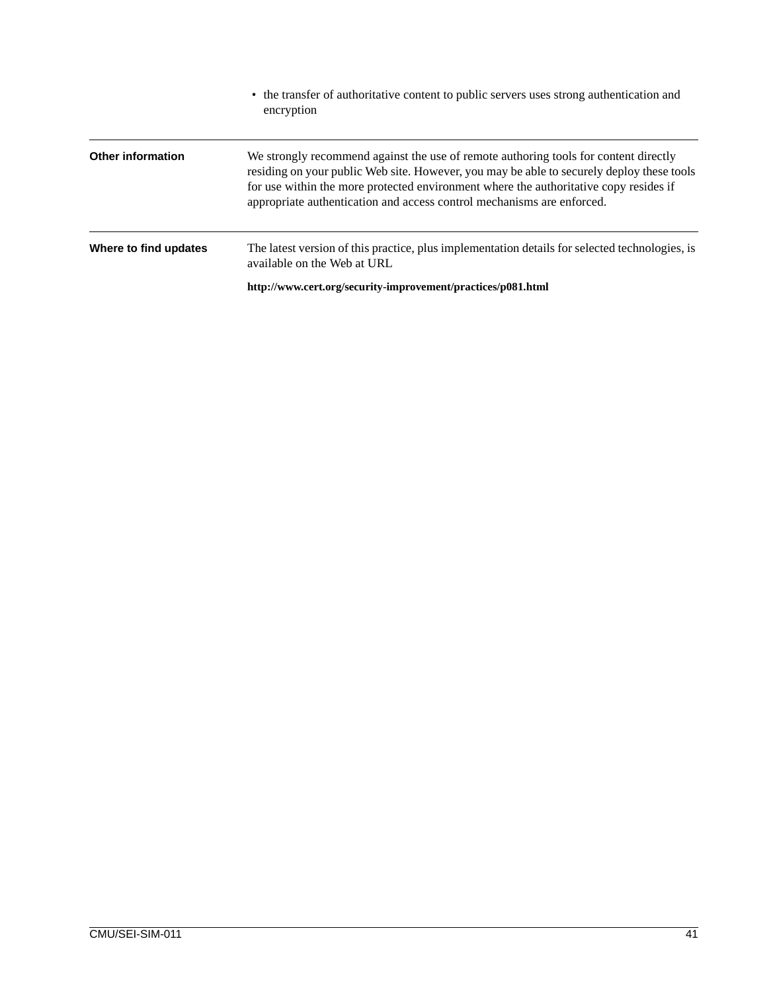|                          | • the transfer of authoritative content to public servers uses strong authentication and<br>encryption                                                                                                                                                                                                                                               |
|--------------------------|------------------------------------------------------------------------------------------------------------------------------------------------------------------------------------------------------------------------------------------------------------------------------------------------------------------------------------------------------|
| <b>Other information</b> | We strongly recommend against the use of remote authoring tools for content directly<br>residing on your public Web site. However, you may be able to securely deploy these tools<br>for use within the more protected environment where the authoritative copy resides if<br>appropriate authentication and access control mechanisms are enforced. |
| Where to find updates    | The latest version of this practice, plus implementation details for selected technologies, is<br>available on the Web at URL                                                                                                                                                                                                                        |
|                          | http://www.cert.org/security-improvement/practices/p081.html                                                                                                                                                                                                                                                                                         |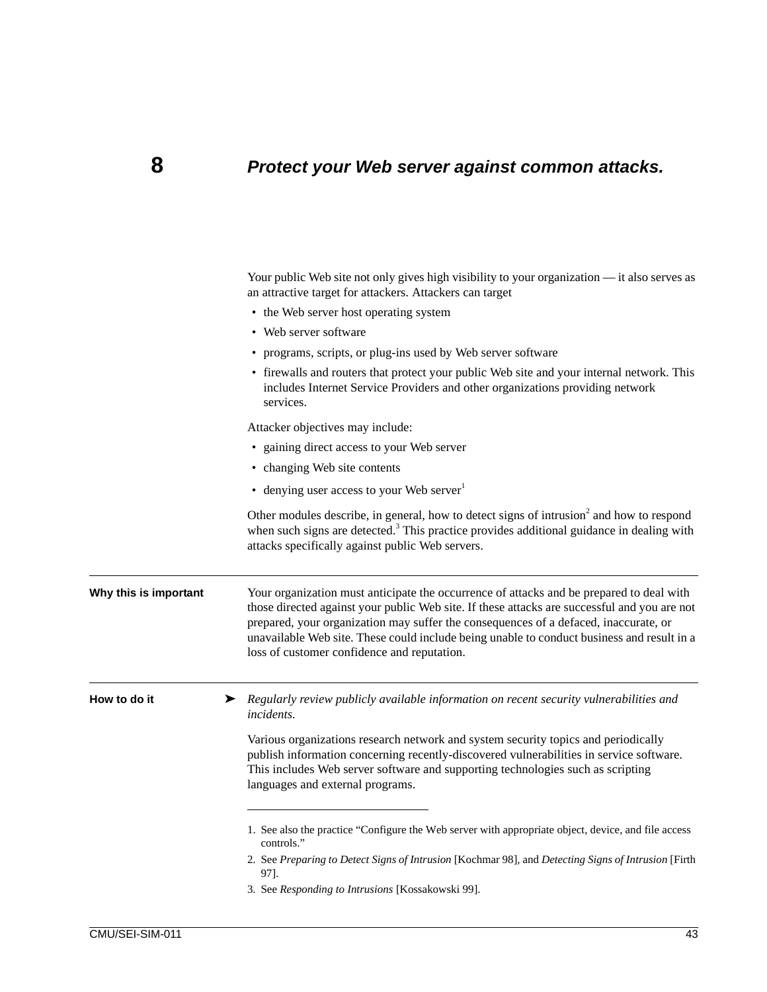## **8** *Protect your Web server against common attacks.*

|                       | Your public Web site not only gives high visibility to your organization — it also serves as<br>an attractive target for attackers. Attackers can target                                                                                                                                                                                                                                                                      |
|-----------------------|-------------------------------------------------------------------------------------------------------------------------------------------------------------------------------------------------------------------------------------------------------------------------------------------------------------------------------------------------------------------------------------------------------------------------------|
|                       | • the Web server host operating system                                                                                                                                                                                                                                                                                                                                                                                        |
|                       | • Web server software                                                                                                                                                                                                                                                                                                                                                                                                         |
|                       | • programs, scripts, or plug-ins used by Web server software                                                                                                                                                                                                                                                                                                                                                                  |
|                       | • firewalls and routers that protect your public Web site and your internal network. This<br>includes Internet Service Providers and other organizations providing network<br>services.                                                                                                                                                                                                                                       |
|                       | Attacker objectives may include:                                                                                                                                                                                                                                                                                                                                                                                              |
|                       | • gaining direct access to your Web server                                                                                                                                                                                                                                                                                                                                                                                    |
|                       | • changing Web site contents                                                                                                                                                                                                                                                                                                                                                                                                  |
|                       | • denying user access to your Web server                                                                                                                                                                                                                                                                                                                                                                                      |
|                       | Other modules describe, in general, how to detect signs of intrusion <sup>2</sup> and how to respond<br>when such signs are detected. <sup>3</sup> This practice provides additional guidance in dealing with<br>attacks specifically against public Web servers.                                                                                                                                                             |
| Why this is important | Your organization must anticipate the occurrence of attacks and be prepared to deal with<br>those directed against your public Web site. If these attacks are successful and you are not<br>prepared, your organization may suffer the consequences of a defaced, inaccurate, or<br>unavailable Web site. These could include being unable to conduct business and result in a<br>loss of customer confidence and reputation. |
| How to do it          | ▶ Regularly review publicly available information on recent security vulnerabilities and<br><i>incidents.</i>                                                                                                                                                                                                                                                                                                                 |
|                       | Various organizations research network and system security topics and periodically<br>publish information concerning recently-discovered vulnerabilities in service software.<br>This includes Web server software and supporting technologies such as scripting<br>languages and external programs.                                                                                                                          |
|                       | 1. See also the practice "Configure the Web server with appropriate object, device, and file access<br>controls."                                                                                                                                                                                                                                                                                                             |
|                       | 2. See Preparing to Detect Signs of Intrusion [Kochmar 98], and Detecting Signs of Intrusion [Firth<br>97].                                                                                                                                                                                                                                                                                                                   |
|                       | 3. See Responding to Intrusions [Kossakowski 99].                                                                                                                                                                                                                                                                                                                                                                             |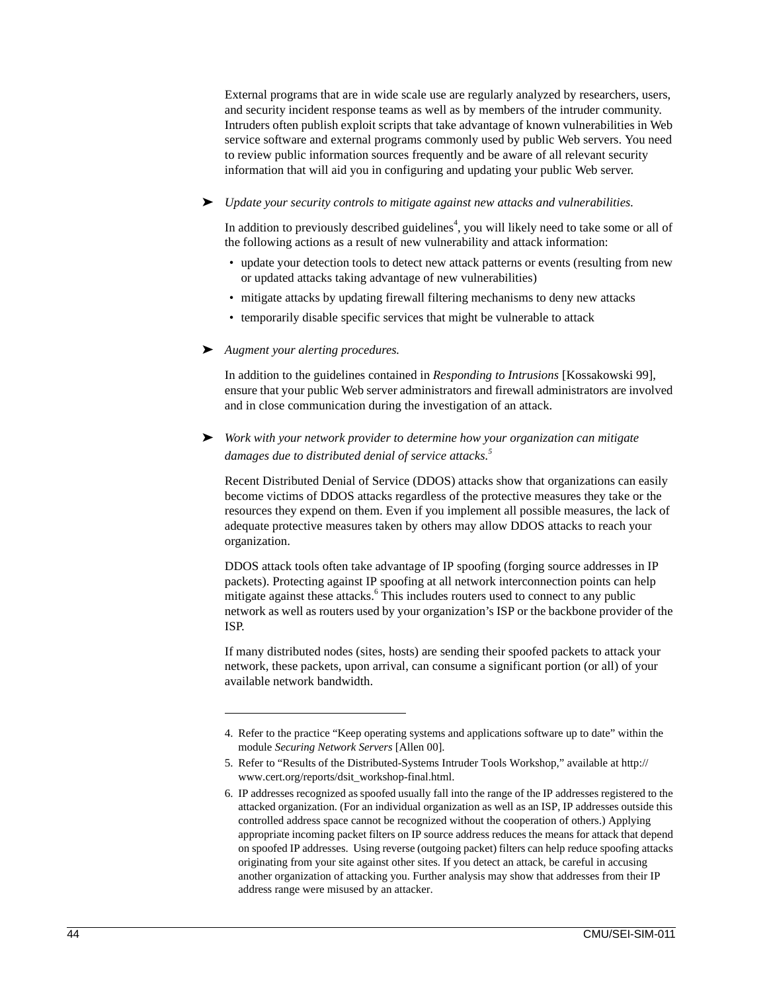External programs that are in wide scale use are regularly analyzed by researchers, users, and security incident response teams as well as by members of the intruder community. Intruders often publish exploit scripts that take advantage of known vulnerabilities in Web service software and external programs commonly used by public Web servers. You need to review public information sources frequently and be aware of all relevant security information that will aid you in configuring and updating your public Web server.

#### ➤ *Update your security controls to mitigate against new attacks and vulnerabilities.*

In addition to previously described guidelines<sup>4</sup>, you will likely need to take some or all of the following actions as a result of new vulnerability and attack information:

- update your detection tools to detect new attack patterns or events (resulting from new or updated attacks taking advantage of new vulnerabilities)
- mitigate attacks by updating firewall filtering mechanisms to deny new attacks
- temporarily disable specific services that might be vulnerable to attack
- ➤ *Augment your alerting procedures.*

In addition to the guidelines contained in *Responding to Intrusions* [Kossakowski 99], ensure that your public Web server administrators and firewall administrators are involved and in close communication during the investigation of an attack.

➤ *Work with your network provider to determine how your organization can mitigate damages due to distributed denial of service attacks.<sup>5</sup>*

Recent Distributed Denial of Service (DDOS) attacks show that organizations can easily become victims of DDOS attacks regardless of the protective measures they take or the resources they expend on them. Even if you implement all possible measures, the lack of adequate protective measures taken by others may allow DDOS attacks to reach your organization.

DDOS attack tools often take advantage of IP spoofing (forging source addresses in IP packets). Protecting against IP spoofing at all network interconnection points can help mitigate against these attacks.<sup>6</sup> This includes routers used to connect to any public network as well as routers used by your organization's ISP or the backbone provider of the ISP.

If many distributed nodes (sites, hosts) are sending their spoofed packets to attack your network, these packets, upon arrival, can consume a significant portion (or all) of your available network bandwidth.

<sup>4.</sup> Refer to the practice "Keep operating systems and applications software up to date" within the module *Securing Network Servers* [Allen 00].

<sup>5.</sup> Refer to "Results of the Distributed-Systems Intruder Tools Workshop," available at http:// www.cert.org/reports/dsit\_workshop-final.html.

<sup>6.</sup> IP addresses recognized as spoofed usually fall into the range of the IP addresses registered to the attacked organization. (For an individual organization as well as an ISP, IP addresses outside this controlled address space cannot be recognized without the cooperation of others.) Applying appropriate incoming packet filters on IP source address reduces the means for attack that depend on spoofed IP addresses. Using reverse (outgoing packet) filters can help reduce spoofing attacks originating from your site against other sites. If you detect an attack, be careful in accusing another organization of attacking you. Further analysis may show that addresses from their IP address range were misused by an attacker.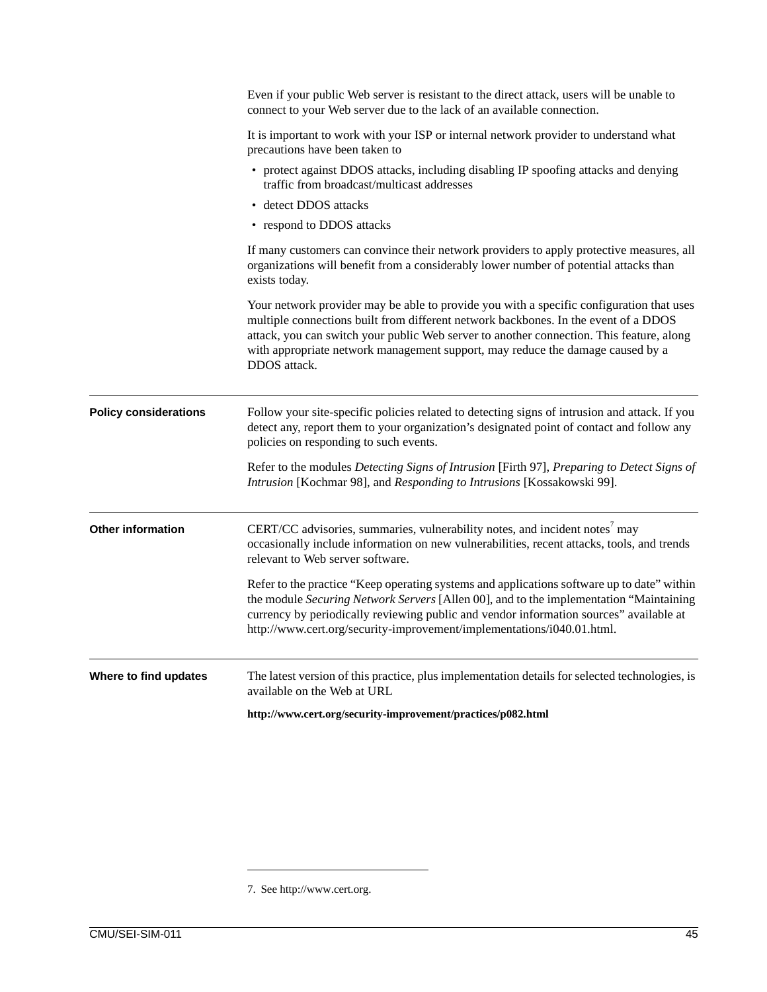|                              | Even if your public Web server is resistant to the direct attack, users will be unable to<br>connect to your Web server due to the lack of an available connection.                                                                                                                                                                                                           |
|------------------------------|-------------------------------------------------------------------------------------------------------------------------------------------------------------------------------------------------------------------------------------------------------------------------------------------------------------------------------------------------------------------------------|
|                              | It is important to work with your ISP or internal network provider to understand what<br>precautions have been taken to                                                                                                                                                                                                                                                       |
|                              | • protect against DDOS attacks, including disabling IP spoofing attacks and denying<br>traffic from broadcast/multicast addresses                                                                                                                                                                                                                                             |
|                              | • detect DDOS attacks                                                                                                                                                                                                                                                                                                                                                         |
|                              | • respond to DDOS attacks                                                                                                                                                                                                                                                                                                                                                     |
|                              | If many customers can convince their network providers to apply protective measures, all<br>organizations will benefit from a considerably lower number of potential attacks than<br>exists today.                                                                                                                                                                            |
|                              | Your network provider may be able to provide you with a specific configuration that uses<br>multiple connections built from different network backbones. In the event of a DDOS<br>attack, you can switch your public Web server to another connection. This feature, along<br>with appropriate network management support, may reduce the damage caused by a<br>DDOS attack. |
| <b>Policy considerations</b> | Follow your site-specific policies related to detecting signs of intrusion and attack. If you<br>detect any, report them to your organization's designated point of contact and follow any<br>policies on responding to such events.                                                                                                                                          |
|                              | Refer to the modules Detecting Signs of Intrusion [Firth 97], Preparing to Detect Signs of<br>Intrusion [Kochmar 98], and Responding to Intrusions [Kossakowski 99].                                                                                                                                                                                                          |
| <b>Other information</b>     | CERT/CC advisories, summaries, vulnerability notes, and incident notes' may<br>occasionally include information on new vulnerabilities, recent attacks, tools, and trends<br>relevant to Web server software.                                                                                                                                                                 |
|                              | Refer to the practice "Keep operating systems and applications software up to date" within<br>the module Securing Network Servers [Allen 00], and to the implementation "Maintaining<br>currency by periodically reviewing public and vendor information sources" available at<br>http://www.cert.org/security-improvement/implementations/i040.01.html.                      |
| Where to find updates        | The latest version of this practice, plus implementation details for selected technologies, is<br>available on the Web at URL                                                                                                                                                                                                                                                 |
|                              | http://www.cert.org/security-improvement/practices/p082.html                                                                                                                                                                                                                                                                                                                  |

7. See http://www.cert.org.